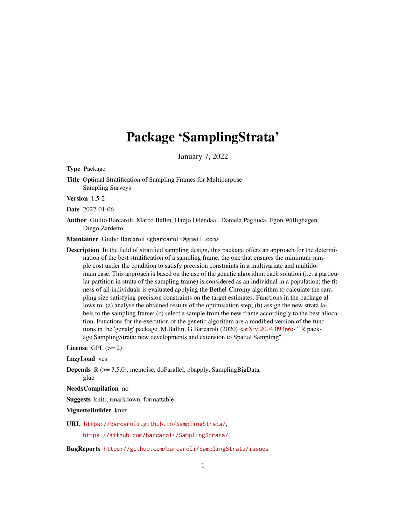# Package 'SamplingStrata'

January 7, 2022

Type Package

Title Optimal Stratification of Sampling Frames for Multipurpose Sampling Surveys

Version 1.5-2

Date 2022-01-06

Author Giulio Barcaroli, Marco Ballin, Hanjo Odendaal, Daniela Pagliuca, Egon Willighagen, Diego Zardetto

Maintainer Giulio Barcaroli <gbarcaroli@gmail.com>

Description In the field of stratified sampling design, this package offers an approach for the determination of the best stratification of a sampling frame, the one that ensures the minimum sample cost under the condition to satisfy precision constraints in a multivariate and multidomain case. This approach is based on the use of the genetic algorithm: each solution (i.e. a particular partition in strata of the sampling frame) is considered as an individual in a population; the fitness of all individuals is evaluated applying the Bethel-Chromy algorithm to calculate the sampling size satisfying precision constraints on the target estimates. Functions in the package allows to: (a) analyse the obtained results of the optimisation step; (b) assign the new strata labels to the sampling frame; (c) select a sample from the new frame accordingly to the best allocation. Functions for the execution of the genetic algorithm are a modified version of the functions in the 'genalg' package. M.Ballin, G.Barcaroli (2020)  $\langle \langle \ar{X} \rangle$  at  $\langle 2004.09366 \rangle$   $\langle \rangle$  R package SamplingStrata: new developments and extension to Spatial Sampling''.

License GPL  $(>= 2)$ 

LazyLoad yes

Depends R (>= 3.5.0), memoise, doParallel, pbapply, SamplingBigData, glue

NeedsCompilation no

Suggests knitr, rmarkdown, formattable

VignetteBuilder knitr

URL <https://barcaroli.github.io/SamplingStrata/>,

<https://github.com/barcaroli/SamplingStrata/>

BugReports <https://github.com/barcaroli/SamplingStrata/issues>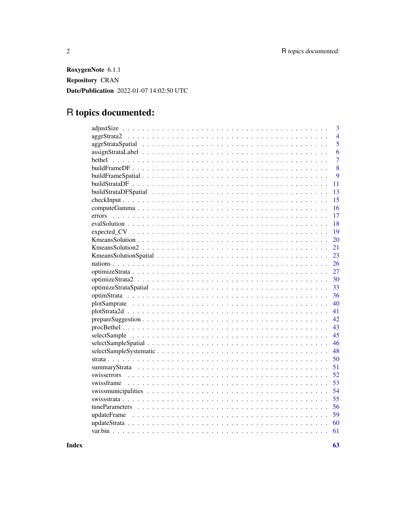RoxygenNote 6.1.1 Repository CRAN Date/Publication 2022-01-07 14:02:50 UTC

## R topics documented:

| 3                                                                                                                    |
|----------------------------------------------------------------------------------------------------------------------|
| $\overline{4}$                                                                                                       |
| 5                                                                                                                    |
| 6                                                                                                                    |
| $\overline{7}$                                                                                                       |
| 8                                                                                                                    |
| 9                                                                                                                    |
| 11                                                                                                                   |
| 13                                                                                                                   |
| 15                                                                                                                   |
| 16                                                                                                                   |
| 17                                                                                                                   |
| 18                                                                                                                   |
| 19                                                                                                                   |
| 20                                                                                                                   |
| 21                                                                                                                   |
| 23                                                                                                                   |
| 26                                                                                                                   |
| 27                                                                                                                   |
| 30                                                                                                                   |
| 33                                                                                                                   |
| 36                                                                                                                   |
| 40                                                                                                                   |
| 41                                                                                                                   |
| 42<br>$prepareSuggestion \ldots \ldots \ldots \ldots \ldots \ldots \ldots \ldots \ldots \ldots \ldots \ldots \ldots$ |
| 43                                                                                                                   |
| 45                                                                                                                   |
| 46                                                                                                                   |
| 48                                                                                                                   |
| 50                                                                                                                   |
| 51                                                                                                                   |
| 52                                                                                                                   |
| 53                                                                                                                   |
| 54                                                                                                                   |
| 55                                                                                                                   |
| 56                                                                                                                   |
| 59                                                                                                                   |
| 60                                                                                                                   |
| 61                                                                                                                   |

 $\blacksquare$  Index  $\blacksquare$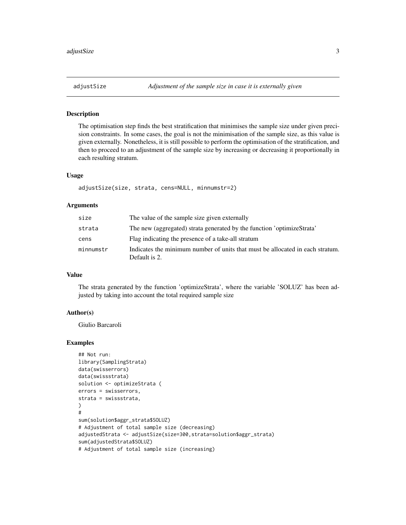## Description

The optimisation step finds the best stratification that minimises the sample size under given precision constraints. In some cases, the goal is not the minimisation of the sample size, as this value is given externally. Nonetheless, it is still possible to perform the optimisation of the stratification, and then to proceed to an adjustment of the sample size by increasing or decreasing it proportionally in each resulting stratum.

## Usage

```
adjustSize(size, strata, cens=NULL, minnumstr=2)
```
## Arguments

| size      | The value of the sample size given externally                                                  |
|-----------|------------------------------------------------------------------------------------------------|
| strata    | The new (aggregated) strata generated by the function 'optimizeStrata'                         |
| cens      | Flag indicating the presence of a take-all stratum                                             |
| minnumstr | Indicates the minimum number of units that must be allocated in each stratum.<br>Default is 2. |

#### Value

The strata generated by the function 'optimizeStrata', where the variable 'SOLUZ' has been adjusted by taking into account the total required sample size

#### Author(s)

Giulio Barcaroli

```
## Not run:
library(SamplingStrata)
data(swisserrors)
data(swissstrata)
solution <- optimizeStrata (
errors = swisserrors,
strata = swissstrata,
)
#
sum(solution$aggr_strata$SOLUZ)
# Adjustment of total sample size (decreasing)
adjustedStrata <- adjustSize(size=300,strata=solution$aggr_strata)
sum(adjustedStrata$SOLUZ)
# Adjustment of total sample size (increasing)
```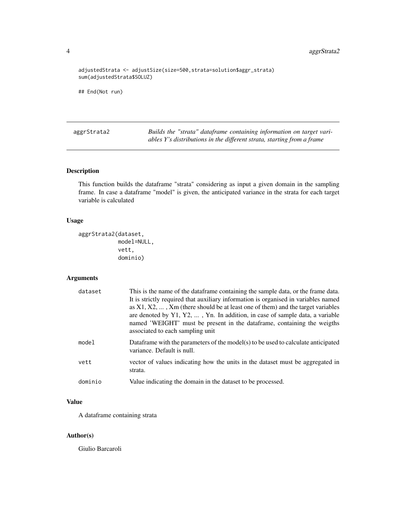<span id="page-3-0"></span>4 aggrStrata2

```
adjustedStrata <- adjustSize(size=500,strata=solution$aggr_strata)
sum(adjustedStrata$SOLUZ)
```
## End(Not run)

aggrStrata2 *Builds the "strata" dataframe containing information on target variables Y's distributions in the different strata, starting from a frame*

## Description

This function builds the dataframe "strata" considering as input a given domain in the sampling frame. In case a dataframe "model" is given, the anticipated variance in the strata for each target variable is calculated

#### Usage

```
aggrStrata2(dataset,
            model=NULL,
            vett,
            dominio)
```
## Arguments

| dataset | This is the name of the data frame containing the sample data, or the frame data.<br>It is strictly required that auxiliary information is organised in variables named<br>as $X1, X2, \ldots, Xm$ (there should be at least one of them) and the target variables<br>are denoted by $Y1, Y2, \ldots, Yn$ . In addition, in case of sample data, a variable<br>named 'WEIGHT' must be present in the dataframe, containing the weigths<br>associated to each sampling unit |
|---------|----------------------------------------------------------------------------------------------------------------------------------------------------------------------------------------------------------------------------------------------------------------------------------------------------------------------------------------------------------------------------------------------------------------------------------------------------------------------------|
| model   | Data frame with the parameters of the model(s) to be used to calculate anticipated<br>variance. Default is null.                                                                                                                                                                                                                                                                                                                                                           |
| vett    | vector of values indicating how the units in the dataset must be aggregated in<br>strata.                                                                                                                                                                                                                                                                                                                                                                                  |
| dominio | Value indicating the domain in the dataset to be processed.                                                                                                                                                                                                                                                                                                                                                                                                                |

## Value

A dataframe containing strata

## Author(s)

Giulio Barcaroli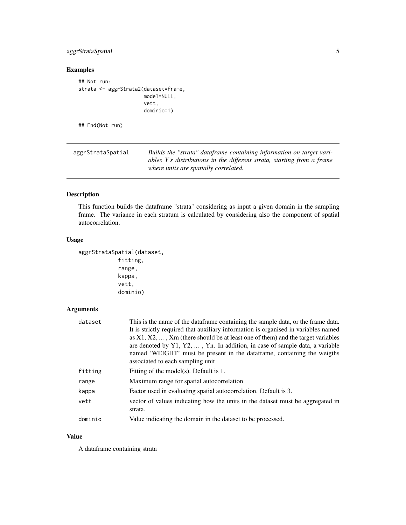## <span id="page-4-0"></span>aggrStrataSpatial 5

## Examples

```
## Not run:
strata <- aggrStrata2(dataset=frame,
                      model=NULL,
                      vett,
                      dominio=1)
## End(Not run)
```

| aggrStrataSpatial | Builds the "strata" dataframe containing information on target vari-   |
|-------------------|------------------------------------------------------------------------|
|                   | ables Y's distributions in the different strata, starting from a frame |
|                   | where units are spatially correlated.                                  |

## Description

This function builds the dataframe "strata" considering as input a given domain in the sampling frame. The variance in each stratum is calculated by considering also the component of spatial autocorrelation.

## Usage

```
aggrStrataSpatial(dataset,
            fitting,
            range,
            kappa,
            vett,
            dominio)
```
## Arguments

| dataset | This is the name of the data frame containing the sample data, or the frame data.<br>It is strictly required that auxiliary information is organised in variables named<br>as $X1, X2, \ldots, Xm$ (there should be at least one of them) and the target variables<br>are denoted by $Y1, Y2, \ldots, Yn$ . In addition, in case of sample data, a variable<br>named 'WEIGHT' must be present in the dataframe, containing the weigths<br>associated to each sampling unit |
|---------|----------------------------------------------------------------------------------------------------------------------------------------------------------------------------------------------------------------------------------------------------------------------------------------------------------------------------------------------------------------------------------------------------------------------------------------------------------------------------|
| fitting | Fitting of the model(s). Default is 1.                                                                                                                                                                                                                                                                                                                                                                                                                                     |
| range   | Maximum range for spatial autocorrelation                                                                                                                                                                                                                                                                                                                                                                                                                                  |
| kappa   | Factor used in evaluating spatial autocorrelation. Default is 3.                                                                                                                                                                                                                                                                                                                                                                                                           |
| vett    | vector of values indicating how the units in the dataset must be aggregated in<br>strata.                                                                                                                                                                                                                                                                                                                                                                                  |
| dominio | Value indicating the domain in the dataset to be processed.                                                                                                                                                                                                                                                                                                                                                                                                                |

## Value

A dataframe containing strata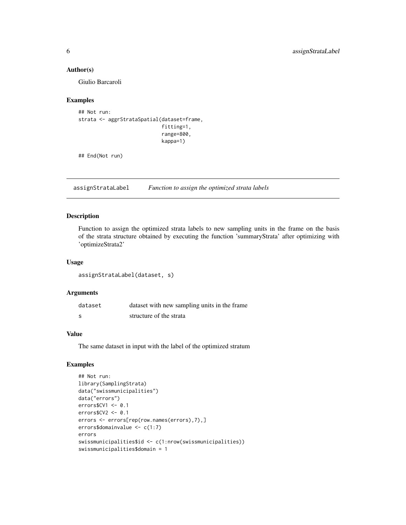#### Author(s)

Giulio Barcaroli

## Examples

```
## Not run:
strata <- aggrStrataSpatial(dataset=frame,
                             fitting=1,
                             range=800,
                            kappa=1)
```
## End(Not run)

assignStrataLabel *Function to assign the optimized strata labels*

## Description

Function to assign the optimized strata labels to new sampling units in the frame on the basis of the strata structure obtained by executing the function 'summaryStrata' after optimizing with 'optimizeStrata2'

## Usage

assignStrataLabel(dataset, s)

## Arguments

| dataset      | dataset with new sampling units in the frame |
|--------------|----------------------------------------------|
| <sub>S</sub> | structure of the strata                      |

#### Value

The same dataset in input with the label of the optimized stratum

```
## Not run:
library(SamplingStrata)
data("swissmunicipalities")
data("errors")
errors$CV1 <- 0.1
errors$CV2 <- 0.1
errors <- errors[rep(row.names(errors),7),]
errors$domainvalue <- c(1:7)
errors
swissmunicipalities$id <- c(1:nrow(swissmunicipalities))
swissmunicipalities$domain = 1
```
<span id="page-5-0"></span>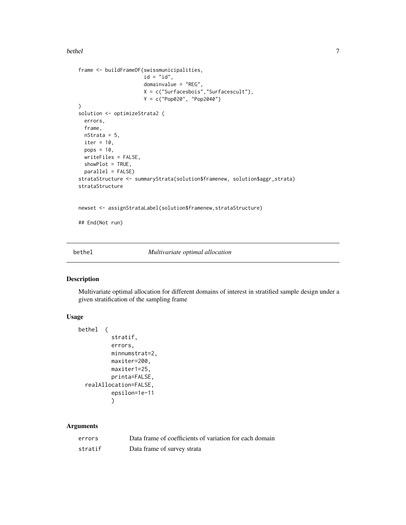#### <span id="page-6-0"></span>bethel 7

```
frame <- buildFrameDF(swissmunicipalities,
                      id = "id",domainvalue = "REG",
                      X = c("Surfacesbois","Surfacescult"),
                      Y = c("Pop020", "Pop2040")
)
solution <- optimizeStrata2 (
 errors,
 frame,
 nStrata = 5,
 iter = 10,
 pops = 10,
 writeFiles = FALSE,
 showPlot = TRUE,
 parallel = FALSE)
strataStructure <- summaryStrata(solution$framenew, solution$aggr_strata)
strataStructure
newset <- assignStrataLabel(solution$framenew,strataStructure)
## End(Not run)
```
bethel *Multivariate optimal allocation*

## Description

Multivariate optimal allocation for different domains of interest in stratified sample design under a given stratification of the sampling frame

## Usage

```
bethel (
          stratif,
          errors,
          minnumstrat=2,
          maxiter=200,
          maxiter1=25,
          printa=FALSE,
  realAllocation=FALSE,
          epsilon=1e-11
          )
```
## Arguments

| errors  | Data frame of coefficients of variation for each domain |
|---------|---------------------------------------------------------|
| stratif | Data frame of survey strata                             |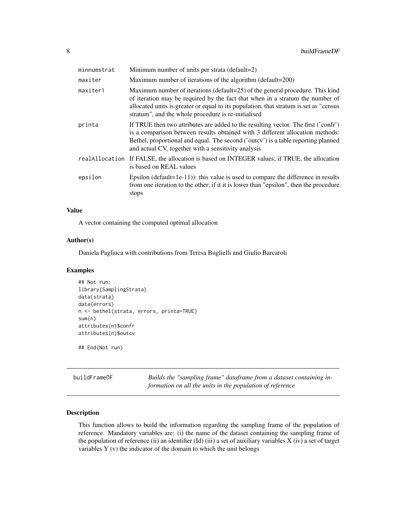<span id="page-7-0"></span>

| minnumstrat | Minimum number of units per strata (default=2)                                                                                                                                                                                                                                                                  |  |
|-------------|-----------------------------------------------------------------------------------------------------------------------------------------------------------------------------------------------------------------------------------------------------------------------------------------------------------------|--|
| maxiter     | Maximum number of iterations of the algorithm (default=200)                                                                                                                                                                                                                                                     |  |
| maxiter1    | Maximum number of iterations (default=25) of the general procedure. This kind<br>of iteration may be required by the fact that when in a stratum the number of<br>allocated units is greater or equal to its population, that stratum is set as "census"<br>stratum", and the whole procedure is re-initialised |  |
| printa      | If TRUE then two attributes are added to the resulting vector. The first ('confr')<br>is a comparison between results obtained with 3 different allocation methods:<br>Bethel, proportional and equal. The second ('outcv') is a table reporting planned<br>and actual CV, together with a sensitivity analysis |  |
|             | real Allocation If FALSE, the allocation is based on INTEGER values; if TRUE, the allocation<br>is based on REAL values                                                                                                                                                                                         |  |
| epsilon     | Epsilon (default=1e-11)): this value is used to compare the difference in results<br>from one iteration to the other; if it it is lower than "epsilon", then the procedure<br>stops                                                                                                                             |  |

## Value

A vector containing the computed optimal allocation

## Author(s)

Daniela Pagliuca with contributions from Teresa Buglielli and Giulio Barcaroli

## Examples

```
## Not run:
library(SamplingStrata)
data(strata)
data(errors)
n <- bethel(strata, errors, printa=TRUE)
sum(n)
attributes(n)$confr
attributes(n)$outcv
```
## End(Not run)

buildFrameDF *Builds the "sampling frame" dataframe from a dataset containing information on all the units in the population of reference*

## Description

This function allows to build the information regarding the sampling frame of the population of reference. Mandatory variables are: (i) the name of the dataset containing the sampling frame of the population of reference (ii) an identifier (Id) (iii) a set of auxiliary variables X (iv) a set of target variables Y (v) the indicator of the domain to which the unit belongs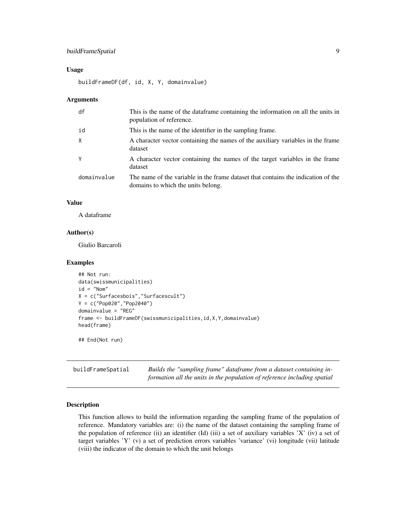## <span id="page-8-0"></span>buildFrameSpatial 9

#### Usage

buildFrameDF(df, id, X, Y, domainvalue)

#### Arguments

| df          | This is the name of the dataframe containing the information on all the units in<br>population of reference.            |
|-------------|-------------------------------------------------------------------------------------------------------------------------|
| id          | This is the name of the identifier in the sampling frame.                                                               |
| X           | A character vector containing the names of the auxiliary variables in the frame<br>dataset                              |
| Y           | A character vector containing the names of the target variables in the frame<br>dataset                                 |
| domainvalue | The name of the variable in the frame dataset that contains the indication of the<br>domains to which the units belong. |

#### Value

A dataframe

## Author(s)

Giulio Barcaroli

#### Examples

```
## Not run:
data(swissmunicipalities)
id = "Nom"
X = c("Surfacesbois","Surfacescult")
Y = c("Pop020","Pop2040")
domainvalue = "REG"
frame <- buildFrameDF(swissmunicipalities,id,X,Y,domainvalue)
head(frame)
```
## End(Not run)

buildFrameSpatial *Builds the "sampling frame" dataframe from a dataset containing information all the units in the population of reference including spatial*

## Description

This function allows to build the information regarding the sampling frame of the population of reference. Mandatory variables are: (i) the name of the dataset containing the sampling frame of the population of reference (ii) an identifier (Id) (iii) a set of auxiliary variables 'X' (iv) a set of target variables 'Y' (v) a set of prediction errors variables 'variance' (vi) longitude (vii) latitude (viii) the indicator of the domain to which the unit belongs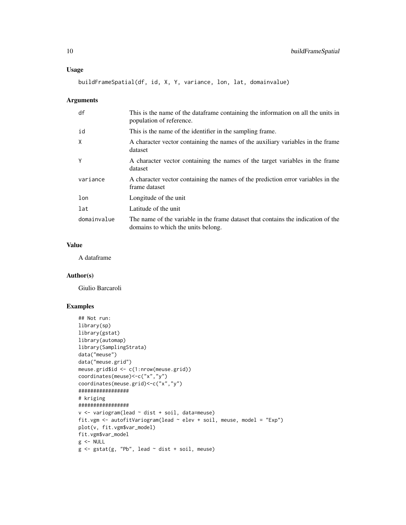buildFrameSpatial(df, id, X, Y, variance, lon, lat, domainvalue)

## Arguments

| df          | This is the name of the dataframe containing the information on all the units in<br>population of reference.            |
|-------------|-------------------------------------------------------------------------------------------------------------------------|
| id          | This is the name of the identifier in the sampling frame.                                                               |
| X           | A character vector containing the names of the auxiliary variables in the frame<br>dataset                              |
| Y           | A character vector containing the names of the target variables in the frame<br>dataset                                 |
| variance    | A character vector containing the names of the prediction error variables in the<br>frame dataset                       |
| lon         | Longitude of the unit                                                                                                   |
| lat         | Latitude of the unit                                                                                                    |
| domainvalue | The name of the variable in the frame dataset that contains the indication of the<br>domains to which the units belong. |

## Value

A dataframe

## Author(s)

Giulio Barcaroli

```
## Not run:
library(sp)
library(gstat)
library(automap)
library(SamplingStrata)
data("meuse")
data("meuse.grid")
meuse.grid$id <- c(1:nrow(meuse.grid))
coordinates(meuse)<-c("x","y")
coordinates(meuse.grid)<-c("x","y")
#################
# kriging
#################
v <- variogram(lead ~ dist + soil, data=meuse)
fit.vgm <- autofitVariogram(lead ~ elev + soil, meuse, model = "Exp")
plot(v, fit.vgm$var_model)
fit.vgm$var_model
g <- NULL
g \leftarrow gstat(g, "Pb", lead \sim dist + soil, meuse)
```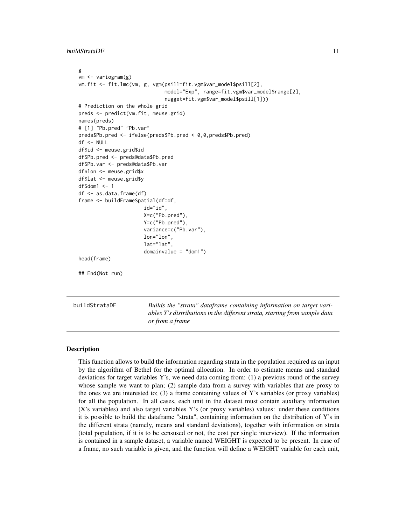<span id="page-10-0"></span>buildStrataDF 11

```
g
 vm <- variogram(g)
 vm.fit <- fit.lmc(vm, g, vgm(psill=fit.vgm$var_model$psill[2],
                               model="Exp", range=fit.vgm$var_model$range[2],
                               nugget=fit.vgm$var_model$psill[1]))
 # Prediction on the whole grid
 preds <- predict(vm.fit, meuse.grid)
 names(preds)
 # [1] "Pb.pred" "Pb.var"
 preds$Pb.pred <- ifelse(preds$Pb.pred < 0,0,preds$Pb.pred)
 df <- NULL
 df$id <- meuse.grid$id
 df$Pb.pred <- preds@data$Pb.pred
 df$Pb.var <- preds@data$Pb.var
 df$lon <- meuse.grid$x
 df$lat <- meuse.grid$y
 df$dom1 <- 1
 df <- as.data.frame(df)
 frame <- buildFrameSpatial(df=df,
                        id="id",
                        X=c("Pb.pred"),
                        Y=c("Pb.pred"),
                        variance=c("Pb.var"),
                        lon="lon",
                        lat="lat",
                        domainvalue = "dom1")
 head(frame)
 ## End(Not run)
buildStrataDF Builds the "strata" dataframe containing information on target vari-
                          ables Y's distributions in the different strata, starting from sample data
```
*or from a frame*

## Description

This function allows to build the information regarding strata in the population required as an input by the algorithm of Bethel for the optimal allocation. In order to estimate means and standard deviations for target variables Y's, we need data coming from:  $(1)$  a previous round of the survey whose sample we want to plan; (2) sample data from a survey with variables that are proxy to the ones we are interested to;  $(3)$  a frame containing values of Y's variables (or proxy variables) for all the population. In all cases, each unit in the dataset must contain auxiliary information (X's variables) and also target variables Y's (or proxy variables) values: under these conditions it is possible to build the dataframe "strata", containing information on the distribution of Y's in the different strata (namely, means and standard deviations), together with information on strata (total population, if it is to be censused or not, the cost per single interview). If the information is contained in a sample dataset, a variable named WEIGHT is expected to be present. In case of a frame, no such variable is given, and the function will define a WEIGHT variable for each unit,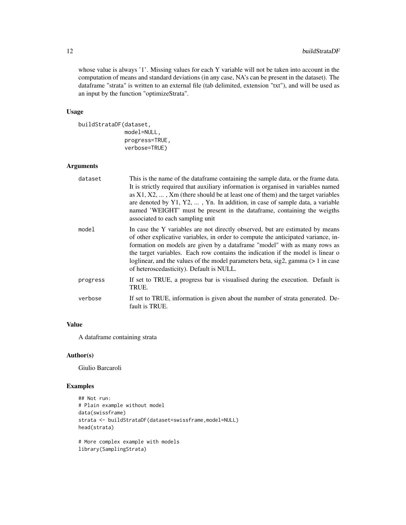whose value is always '1'. Missing values for each Y variable will not be taken into account in the computation of means and standard deviations (in any case, NA's can be present in the dataset). The dataframe "strata" is written to an external file (tab delimited, extension "txt"), and will be used as an input by the function "optimizeStrata".

## Usage

```
buildStrataDF(dataset,
              model=NULL,
              progress=TRUE,
              verbose=TRUE)
```
## Arguments

| dataset  | This is the name of the dataframe containing the sample data, or the frame data.<br>It is strictly required that auxiliary information is organised in variables named<br>as $X1, X2, \ldots$ , $Xm$ (there should be at least one of them) and the target variables<br>are denoted by $Y1, Y2, \ldots$ , Yn. In addition, in case of sample data, a variable<br>named 'WEIGHT' must be present in the data frame, containing the weigths<br>associated to each sampling unit |
|----------|-------------------------------------------------------------------------------------------------------------------------------------------------------------------------------------------------------------------------------------------------------------------------------------------------------------------------------------------------------------------------------------------------------------------------------------------------------------------------------|
| model    | In case the Y variables are not directly observed, but are estimated by means<br>of other explicative variables, in order to compute the anticipated variance, in-<br>formation on models are given by a dataframe "model" with as many rows as<br>the target variables. Each row contains the indication if the model is linear o<br>loglinear, and the values of the model parameters beta, $sig2$ , gamma ( $> 1$ in case<br>of heteroscedasticity). Default is NULL.      |
| progress | If set to TRUE, a progress bar is visualised during the execution. Default is<br>TRUE.                                                                                                                                                                                                                                                                                                                                                                                        |
| verbose  | If set to TRUE, information is given about the number of strata generated. De-<br>fault is TRUE.                                                                                                                                                                                                                                                                                                                                                                              |

## Value

A dataframe containing strata

## Author(s)

Giulio Barcaroli

```
## Not run:
# Plain example without model
data(swissframe)
strata <- buildStrataDF(dataset=swissframe,model=NULL)
head(strata)
# More complex example with models
```

```
library(SamplingStrata)
```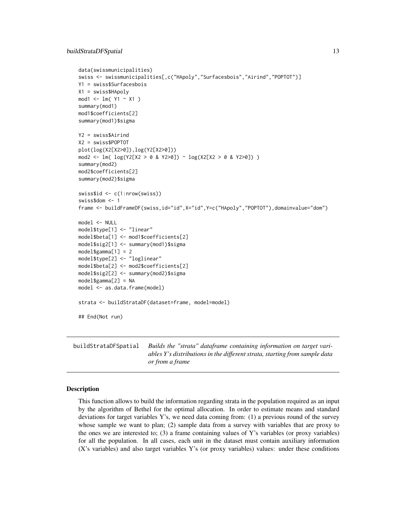```
data(swissmunicipalities)
swiss <- swissmunicipalities[,c("HApoly","Surfacesbois","Airind","POPTOT")]
Y1 = swiss$Surfacesbois
X1 = swiss$HApoly
mod1 <- lm( Y1 ~ X1 )summary(mod1)
mod1$coefficients[2]
summary(mod1)$sigma
Y2 = swiss$Airind
X2 = swiss$POPTOT
plot(log(X2[X2>0]),log(Y2[X2>0]))
mod2 <- lm( log(Y2[X2 > 0 & Y2>0]) ~ log(X2[X2 > 0 & Y2>0]) )
summary(mod2)
mod2$coefficients[2]
summary(mod2)$sigma
swiss$id <- c(1:nrow(swiss))
swiss$dom <- 1
frame <- buildFrameDF(swiss,id="id",X="id",Y=c("HApoly","POPTOT"),domainvalue="dom")
model <- NULL
model$type[1] <- "linear"
model$beta[1] <- mod1$coefficients[2]
model$sig2[1] <- summary(mod1)$sigma
model$gamma[1] = 2
model$type[2] <- "loglinear"
model$beta[2] <- mod2$coefficients[2]
model$sig2[2] <- summary(mod2)$sigma
model$gamma[2] = NA
model <- as.data.frame(model)
strata <- buildStrataDF(dataset=frame, model=model)
## End(Not run)
```
buildStrataDFSpatial *Builds the "strata" dataframe containing information on target variables Y's distributions in the different strata, starting from sample data or from a frame*

## Description

This function allows to build the information regarding strata in the population required as an input by the algorithm of Bethel for the optimal allocation. In order to estimate means and standard deviations for target variables Y's, we need data coming from: (1) a previous round of the survey whose sample we want to plan; (2) sample data from a survey with variables that are proxy to the ones we are interested to; (3) a frame containing values of Y's variables (or proxy variables) for all the population. In all cases, each unit in the dataset must contain auxiliary information (X's variables) and also target variables Y's (or proxy variables) values: under these conditions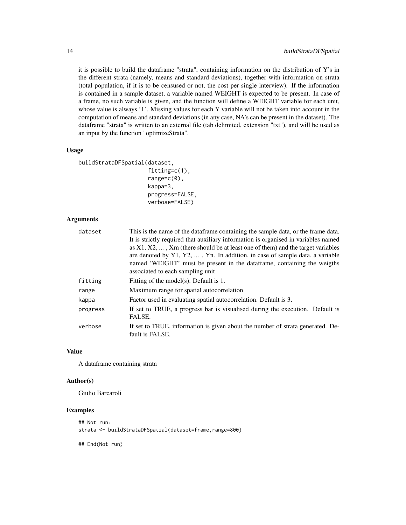it is possible to build the dataframe "strata", containing information on the distribution of Y's in the different strata (namely, means and standard deviations), together with information on strata (total population, if it is to be censused or not, the cost per single interview). If the information is contained in a sample dataset, a variable named WEIGHT is expected to be present. In case of a frame, no such variable is given, and the function will define a WEIGHT variable for each unit, whose value is always '1'. Missing values for each Y variable will not be taken into account in the computation of means and standard deviations (in any case, NA's can be present in the dataset). The dataframe "strata" is written to an external file (tab delimited, extension "txt"), and will be used as an input by the function "optimizeStrata".

#### Usage

```
buildStrataDFSpatial(dataset,
                     fitting=c(1),
```

```
range=c(0),
kappa=3,
progress=FALSE,
verbose=FALSE)
```
## Arguments

| dataset  | This is the name of the dataframe containing the sample data, or the frame data.                  |
|----------|---------------------------------------------------------------------------------------------------|
|          | It is strictly required that auxiliary information is organised in variables named                |
|          | as $X1, X2, \ldots, Xm$ (there should be at least one of them) and the target variables           |
|          | are denoted by $Y1, Y2, \ldots$ , Yn. In addition, in case of sample data, a variable             |
|          | named 'WEIGHT' must be present in the dataframe, containing the weigths                           |
|          | associated to each sampling unit                                                                  |
| fitting  | Fitting of the model(s). Default is 1.                                                            |
| range    | Maximum range for spatial autocorrelation                                                         |
| kappa    | Factor used in evaluating spatial autocorrelation. Default is 3.                                  |
| progress | If set to TRUE, a progress bar is visualised during the execution. Default is<br>FALSE.           |
| verbose  | If set to TRUE, information is given about the number of strata generated. De-<br>fault is FALSE. |

#### Value

A dataframe containing strata

## Author(s)

Giulio Barcaroli

## Examples

```
## Not run:
strata <- buildStrataDFSpatial(dataset=frame, range=800)
```
## End(Not run)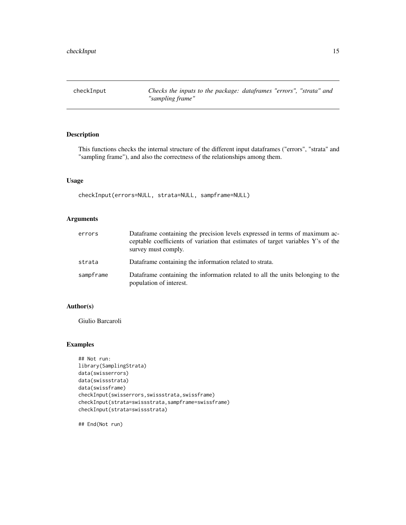<span id="page-14-0"></span>

## Description

This functions checks the internal structure of the different input dataframes ("errors", "strata" and "sampling frame"), and also the correctness of the relationships among them.

## Usage

```
checkInput(errors=NULL, strata=NULL, sampframe=NULL)
```
## Arguments

| errors    | Dataframe containing the precision levels expressed in terms of maximum ac-<br>ceptable coefficients of variation that estimates of target variables Y's of the<br>survey must comply. |
|-----------|----------------------------------------------------------------------------------------------------------------------------------------------------------------------------------------|
| strata    | Dataframe containing the information related to strata.                                                                                                                                |
| sampframe | Dataframe containing the information related to all the units belonging to the<br>population of interest.                                                                              |

## Author(s)

Giulio Barcaroli

## Examples

```
## Not run:
library(SamplingStrata)
data(swisserrors)
data(swissstrata)
data(swissframe)
checkInput(swisserrors,swissstrata,swissframe)
checkInput(strata=swissstrata,sampframe=swissframe)
checkInput(strata=swissstrata)
```
## End(Not run)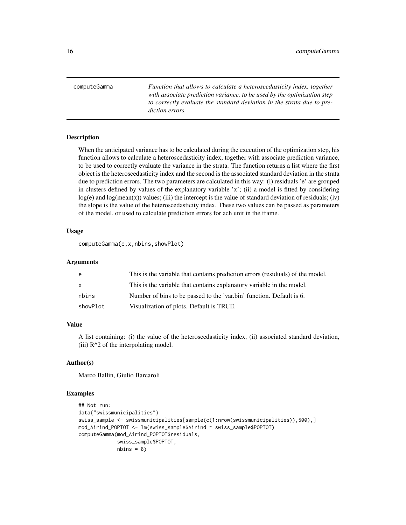<span id="page-15-0"></span>computeGamma *Function that allows to calculate a heteroscedasticity index, together with associate prediction variance, to be used by the optimization step to correctly evaluate the standard deviation in the strata due to prediction errors.*

#### Description

When the anticipated variance has to be calculated during the execution of the optimization step, his function allows to calculate a heteroscedasticity index, together with associate prediction variance, to be used to correctly evaluate the variance in the strata. The function returns a list where the first object is the heteroscedasticity index and the second is the associated standard deviation in the strata due to prediction errors. The two parameters are calculated in this way: (i) residuals 'e' are grouped in clusters defined by values of the explanatory variable 'x'; (ii) a model is fitted by considering  $log(e)$  and  $log(mean(x))$  values; (iii) the intercept is the value of standard deviation of residuals; (iv) the slope is the value of the heteroscedasticity index. These two values can be passed as parameters of the model, or used to calculate prediction errors for ach unit in the frame.

## Usage

```
computeGamma(e,x,nbins,showPlot)
```
#### Arguments

| e            | This is the variable that contains prediction errors (residuals) of the model. |
|--------------|--------------------------------------------------------------------------------|
| $\mathsf{x}$ | This is the variable that contains explanatory variable in the model.          |
| nbins        | Number of bins to be passed to the 'var.bin' function. Default is 6.           |
| showPlot     | Visualization of plots. Default is TRUE.                                       |

## Value

A list containing: (i) the value of the heteroscedasticity index, (ii) associated standard deviation, (iii)  $R^2$  of the interpolating model.

#### Author(s)

Marco Ballin, Giulio Barcaroli

```
## Not run:
data("swissmunicipalities")
swiss_sample <- swissmunicipalities[sample(c(1:nrow(swissmunicipalities)),500),]
mod_Airind_POPTOT <- lm(swiss_sample$Airind ~ swiss_sample$POPTOT)
computeGamma(mod_Airind_POPTOT$residuals,
             swiss_sample$POPTOT,
             nbins = 8
```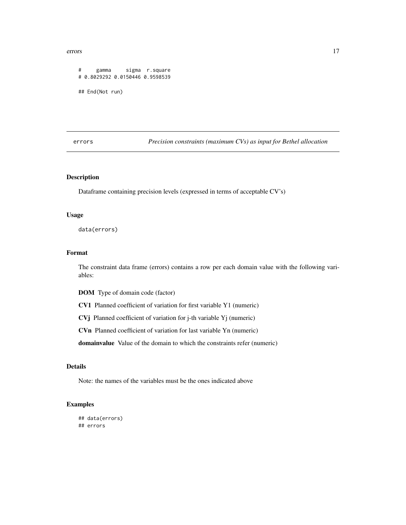#### <span id="page-16-0"></span>errors and the contract of the contract of the contract of the contract of the contract of the contract of the contract of the contract of the contract of the contract of the contract of the contract of the contract of the

```
# gamma sigma r.square
# 0.8029292 0.0150446 0.9598539
## End(Not run)
```
errors *Precision constraints (maximum CVs) as input for Bethel allocation*

## Description

Dataframe containing precision levels (expressed in terms of acceptable CV's)

## Usage

data(errors)

## Format

The constraint data frame (errors) contains a row per each domain value with the following variables:

DOM Type of domain code (factor)

CV1 Planned coefficient of variation for first variable Y1 (numeric)

CVj Planned coefficient of variation for j-th variable Yj (numeric)

CVn Planned coefficient of variation for last variable Yn (numeric)

domainvalue Value of the domain to which the constraints refer (numeric)

## Details

Note: the names of the variables must be the ones indicated above

```
## data(errors)
## errors
```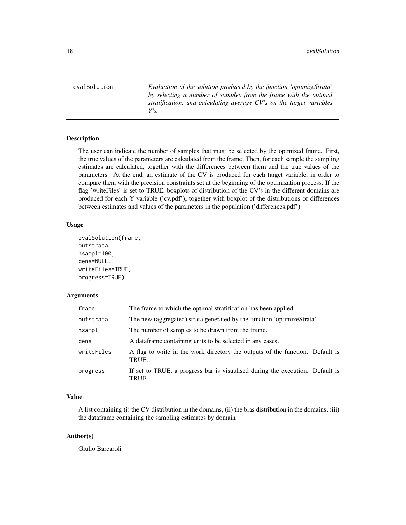<span id="page-17-0"></span>evalSolution *Evaluation of the solution produced by the function 'optimizeStrata' by selecting a number of samples from the frame with the optimal stratification, and calculating average CV's on the target variables Y's.*

## Description

The user can indicate the number of samples that must be selected by the optmized frame. First, the true values of the parameters are calculated from the frame. Then, for each sample the sampling estimates are calculated, together with the differences between them and the true values of the parameters. At the end, an estimate of the CV is produced for each target variable, in order to compare them with the precision constraints set at the beginning of the optimization process. If the flag 'writeFiles' is set to TRUE, boxplots of distribution of the CV's in the different domains are produced for each Y variable ('cv.pdf'), together with boxplot of the distributions of differences between estimates and values of the parameters in the population ('differences.pdf').

#### Usage

```
evalSolution(frame,
outstrata,
nsampl=100,
cens=NULL,
writeFiles=TRUE,
progress=TRUE)
```
## Arguments

| frame      | The frame to which the optimal stratification has been applied.                        |
|------------|----------------------------------------------------------------------------------------|
| outstrata  | The new (aggregated) strata generated by the function 'optimizeStrata'.                |
| nsampl     | The number of samples to be drawn from the frame.                                      |
| cens       | A data frame containing units to be selected in any cases.                             |
| writeFiles | A flag to write in the work directory the outputs of the function. Default is<br>TRUE. |
| progress   | If set to TRUE, a progress bar is visualised during the execution. Default is<br>TRUE. |

## Value

A list containing (i) the CV distribution in the domains, (ii) the bias distribution in the domains, (iii) the dataframe containing the sampling estimates by domain

#### Author(s)

Giulio Barcaroli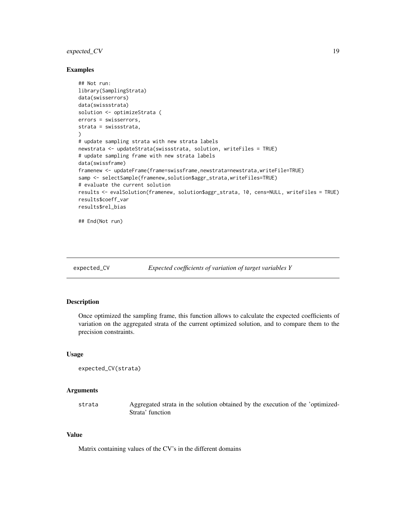## <span id="page-18-0"></span>expected\_CV 19

#### Examples

```
## Not run:
library(SamplingStrata)
data(swisserrors)
data(swissstrata)
solution <- optimizeStrata (
errors = swisserrors,
strata = swissstrata,
)
# update sampling strata with new strata labels
newstrata <- updateStrata(swissstrata, solution, writeFiles = TRUE)
# update sampling frame with new strata labels
data(swissframe)
framenew <- updateFrame(frame=swissframe,newstrata=newstrata,writeFile=TRUE)
samp <- selectSample(framenew, solution$aggr_strata,writeFiles=TRUE)
# evaluate the current solution
results <- evalSolution(framenew, solution$aggr_strata, 10, cens=NULL, writeFiles = TRUE)
results$coeff_var
results$rel_bias
## End(Not run)
```
expected\_CV *Expected coefficients of variation of target variables Y*

## Description

Once optimized the sampling frame, this function allows to calculate the expected coefficients of variation on the aggregated strata of the current optimized solution, and to compare them to the precision constraints.

## Usage

```
expected_CV(strata)
```
## Arguments

strata Aggregated strata in the solution obtained by the execution of the 'optimized-Strata' function

## Value

Matrix containing values of the CV's in the different domains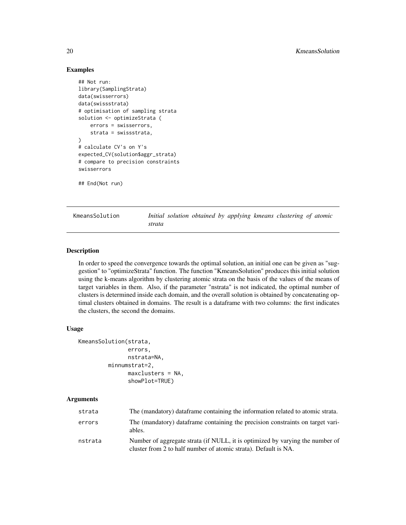## Examples

```
## Not run:
library(SamplingStrata)
data(swisserrors)
data(swissstrata)
# optimisation of sampling strata
solution <- optimizeStrata (
    errors = swisserrors,
    strata = swissstrata,
)
# calculate CV's on Y's
expected_CV(solution$aggr_strata)
# compare to precision constraints
swisserrors
## End(Not run)
```
KmeansSolution *Initial solution obtained by applying kmeans clustering of atomic strata*

## Description

In order to speed the convergence towards the optimal solution, an initial one can be given as "suggestion" to "optimizeStrata" function. The function "KmeansSolution" produces this initial solution using the k-means algorithm by clustering atomic strata on the basis of the values of the means of target variables in them. Also, if the parameter "nstrata" is not indicated, the optimal number of clusters is determined inside each domain, and the overall solution is obtained by concatenating optimal clusters obtained in domains. The result is a dataframe with two columns: the first indicates the clusters, the second the domains.

#### Usage

```
KmeansSolution(strata,
               errors,
               nstrata=NA,
         minnumstrat=2,
               maxclusters = NA,
               showPlot=TRUE)
```
## Arguments

| strata  | The (mandatory) data frame containing the information related to atomic strata.                                                                  |
|---------|--------------------------------------------------------------------------------------------------------------------------------------------------|
| errors  | The (mandatory) dataframe containing the precision constraints on target vari-<br>ables.                                                         |
| nstrata | Number of aggregate strata (if NULL, it is optimized by varying the number of<br>cluster from 2 to half number of atomic strata). Default is NA. |

<span id="page-19-0"></span>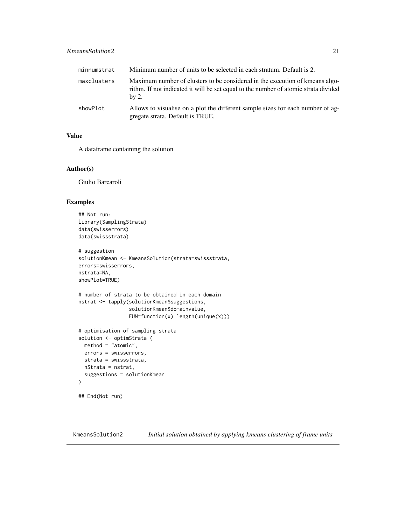## <span id="page-20-0"></span>KmeansSolution2 21

| minnumstrat | Minimum number of units to be selected in each stratum. Default is 2.                                                                                                          |
|-------------|--------------------------------------------------------------------------------------------------------------------------------------------------------------------------------|
| maxclusters | Maximum number of clusters to be considered in the execution of kmeans algo-<br>rithm. If not indicated it will be set equal to the number of atomic strata divided<br>$bv$ 2. |
| showPlot    | Allows to visualise on a plot the different sample sizes for each number of ag-<br>gregate strata. Default is TRUE.                                                            |

## Value

A dataframe containing the solution

## Author(s)

Giulio Barcaroli

## Examples

```
## Not run:
library(SamplingStrata)
data(swisserrors)
data(swissstrata)
# suggestion
solutionKmean <- KmeansSolution(strata=swissstrata,
errors=swisserrors,
nstrata=NA,
showPlot=TRUE)
# number of strata to be obtained in each domain
nstrat <- tapply(solutionKmean$suggestions,
                 solutionKmean$domainvalue,
                 FUN=function(x) length(unique(x)))
# optimisation of sampling strata
solution <- optimStrata (
 method = "atomic",
 errors = swisserrors,
 strata = swissstrata,
 nStrata = nstrat,
 suggestions = solutionKmean
)
## End(Not run)
```
KmeansSolution2 *Initial solution obtained by applying kmeans clustering of frame units*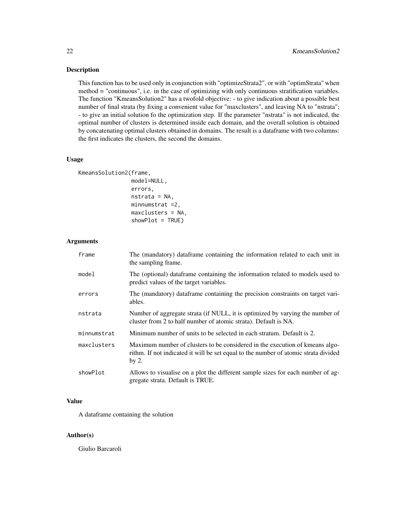## Description

This function has to be used only in conjunction with "optimizeStrata2", or with "optimStrata" when method = "continuous", i.e. in the case of optimizing with only continuous stratification variables. The function "KmeansSolution2" has a twofold objective: - to give indication about a possible best number of final strata (by fixing a convenient value for "maxclusters", and leaving NA to "nstrata"; - to give an initial solution fo the optimization step. If the parameter "nstrata" is not indicated, the optimal number of clusters is determined inside each domain, and the overall solution is obtained by concatenating optimal clusters obtained in domains. The result is a dataframe with two columns: the first indicates the clusters, the second the domains.

#### Usage

```
KmeansSolution2(frame,
```

```
model=NULL,
errors,
nstrata = NA,
minnumstrat =2,
maxclusters = NA,
showPlot = TRUE)
```
## Arguments

| frame       | The (mandatory) dataframe containing the information related to each unit in<br>the sampling frame.                                                                             |
|-------------|---------------------------------------------------------------------------------------------------------------------------------------------------------------------------------|
| model       | The (optional) data frame containing the information related to models used to<br>predict values of the target variables.                                                       |
| errors      | The (mandatory) dataframe containing the precision constraints on target vari-<br>ables.                                                                                        |
| nstrata     | Number of aggregate strata (if NULL, it is optimized by varying the number of<br>cluster from 2 to half number of atomic strata). Default is NA.                                |
| minnumstrat | Minimum number of units to be selected in each stratum. Default is 2.                                                                                                           |
| maxclusters | Maximum number of clusters to be considered in the execution of kmeans algo-<br>rithm. If not indicated it will be set equal to the number of atomic strata divided<br>by $2$ . |
| showPlot    | Allows to visualise on a plot the different sample sizes for each number of ag-<br>gregate strata. Default is TRUE.                                                             |

## Value

A dataframe containing the solution

#### Author(s)

Giulio Barcaroli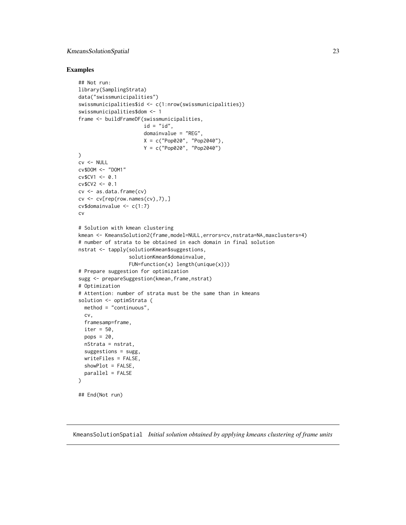## <span id="page-22-0"></span>KmeansSolutionSpatial 23

#### Examples

```
## Not run:
library(SamplingStrata)
data("swissmunicipalities")
swissmunicipalities$id <- c(1:nrow(swissmunicipalities))
swissmunicipalities$dom <- 1
frame <- buildFrameDF(swissmunicipalities,
                      id = "id",domainvalue = "REG",
                      X = c("Pop020", "Pop2040"),
                      Y = c("Pop020", "Pop2040")
)
cv <- NULL
cv$DOM <- "DOM1"
cv$CV1 <- 0.1
cv$CV2 <- 0.1
cv <- as.data.frame(cv)
cv \leq cv [rep(row.names(cv),7),]
cv$domainvalue <- c(1:7)cv
# Solution with kmean clustering
kmean <- KmeansSolution2(frame,model=NULL,errors=cv,nstrata=NA,maxclusters=4)
# number of strata to be obtained in each domain in final solution
nstrat <- tapply(solutionKmean$suggestions,
                 solutionKmean$domainvalue,
                 FUN=function(x) length(unique(x)))
# Prepare suggestion for optimization
sugg <- prepareSuggestion(kmean, frame, nstrat)
# Optimization
# Attention: number of strata must be the same than in kmeans
solution <- optimStrata (
  method = "continuous",
  cv,
  framesamp=frame,
  iter = 50,
  pops = 20,nStrata = nstrat,
  suggestions = sugg,
  writeFiles = FALSE,
  showPlot = FALSE,
  parallel = FALSE
\mathcal{L}## End(Not run)
```
KmeansSolutionSpatial *Initial solution obtained by applying kmeans clustering of frame units*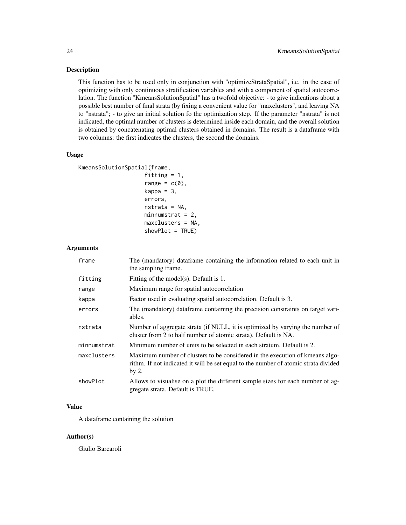## Description

This function has to be used only in conjunction with "optimizeStrataSpatial", i.e. in the case of optimizing with only continuous stratification variables and with a component of spatial autocorrelation. The function "KmeansSolutionSpatial" has a twofold objective: - to give indications about a possible best number of final strata (by fixing a convenient value for "maxclusters", and leaving NA to "nstrata"; - to give an initial solution fo the optimization step. If the parameter "nstrata" is not indicated, the optimal number of clusters is determined inside each domain, and the overall solution is obtained by concatenating optimal clusters obtained in domains. The result is a dataframe with two columns: the first indicates the clusters, the second the domains.

## Usage

```
KmeansSolutionSpatial(frame,
```

```
fitting = 1,
range = c(\theta),
kappa = 3,
errors,
nstrata = NA,
minnumstrat = 2,
maxclusters = NA,
showPlot = TRUE)
```
#### Arguments

| frame       | The (mandatory) dataframe containing the information related to each unit in<br>the sampling frame.                                                                            |
|-------------|--------------------------------------------------------------------------------------------------------------------------------------------------------------------------------|
| fitting     | Fitting of the model(s). Default is 1.                                                                                                                                         |
| range       | Maximum range for spatial autocorrelation                                                                                                                                      |
| kappa       | Factor used in evaluating spatial autocorrelation. Default is 3.                                                                                                               |
| errors      | The (mandatory) dataframe containing the precision constraints on target vari-<br>ables.                                                                                       |
| nstrata     | Number of aggregate strata (if NULL, it is optimized by varying the number of<br>cluster from 2 to half number of atomic strata). Default is NA.                               |
| minnumstrat | Minimum number of units to be selected in each stratum. Default is 2.                                                                                                          |
| maxclusters | Maximum number of clusters to be considered in the execution of kmeans algo-<br>rithm. If not indicated it will be set equal to the number of atomic strata divided<br>by $2.$ |
| showPlot    | Allows to visualise on a plot the different sample sizes for each number of ag-<br>gregate strata. Default is TRUE.                                                            |

## Value

A dataframe containing the solution

#### Author(s)

Giulio Barcaroli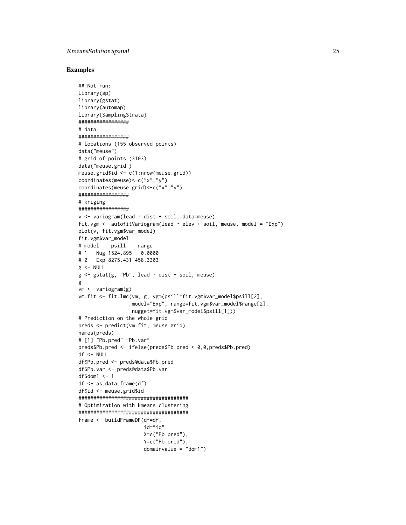## KmeansSolutionSpatial 25

```
## Not run:
library(sp)
library(gstat)
library(automap)
library(SamplingStrata)
#################
# data
#################
# locations (155 observed points)
data("meuse")
# grid of points (3103)
data("meuse.grid")
meuse.grid$id <- c(1:nrow(meuse.grid))
coordinates(meuse)<-c("x","y")
coordinates(meuse.grid)<-c("x","y")
#################
# kriging
#################
v \le variogram(lead \sim dist + soil, data=meuse)
fit.vgm \le autofitVariogram(lead \sim elev + soil, meuse, model = "Exp")
plot(v, fit.vgm$var_model)
fit.vgm$var_model
# model psill range
# 1 Nug 1524.895 0.0000
# 2 Exp 8275.431 458.3303
g <- NULL
g \leftarrow \text{gstat}(g, \text{ "Pb", lead} \sim \text{dist} + \text{soil}, \text{ meuse})g
vm <- variogram(g)
vm.fit <- fit.lmc(vm, g, vgm(psill=fit.vgm$var_model$psill[2],
                  model="Exp", range=fit.vgm$var_model$range[2],
                   nugget=fit.vgm$var_model$psill[1]))
# Prediction on the whole grid
preds <- predict(vm.fit, meuse.grid)
names(preds)
# [1] "Pb.pred" "Pb.var"
preds$Pb.pred <- ifelse(preds$Pb.pred < 0,0,preds$Pb.pred)
df <- NULL
df$Pb.pred <- preds@data$Pb.pred
df$Pb.var <- preds@data$Pb.var
df$dom1 <- 1
df <- as.data.frame(df)
df$id <- meuse.grid$id
#####################################
# Optimization with kmeans clustering
#####################################
frame <- buildFrameDF(df=df,
                       id="id",
                       X=c("Pb.pred"),
                       Y=c("Pb.pred"),
                       domainvalue = "dom1")
```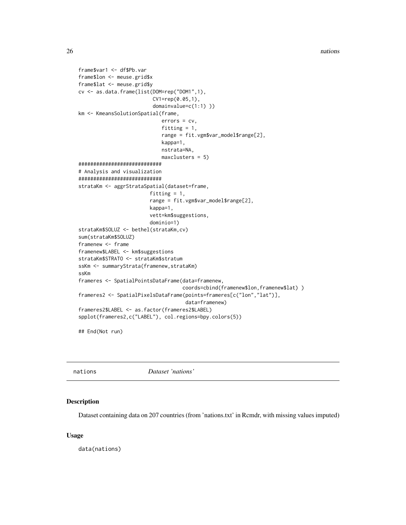26 nations and the contract of the contract of the contract of the contract of the contract of the contract of the contract of the contract of the contract of the contract of the contract of the contract of the contract of

```
frame$var1 <- df$Pb.var
frame$lon <- meuse.grid$x
frame$lat <- meuse.grid$y
cv <- as.data.frame(list(DOM=rep("DOM1",1),
                         CV1=rep(0.05,1),
                         domainvalue=c(1:1) ))
km <- KmeansSolutionSpatial(frame,
                            errors = cv,
                            fitting = 1,
                            range = fit.vgm$var_model$range[2],
                            kappa=1,
                            nstrata=NA,
                            maxclusters = 5)
############################
# Analysis and visualization
############################
strataKm <- aggrStrataSpatial(dataset=frame,
                        fitting = 1,
                        range = fit.vgm$var_model$range[2],
                        kappa=1,
                        vett=km$suggestions,
                        dominio=1)
strataKm$SOLUZ <- bethel(strataKm,cv)
sum(strataKm$SOLUZ)
framenew <- frame
framenew$LABEL <- km$suggestions
strataKm$STRATO <- strataKm$stratum
ssKm <- summaryStrata(framenew,strataKm)
ssKm
frameres <- SpatialPointsDataFrame(data=framenew,
                                   coords=cbind(framenew$lon,framenew$lat) )
frameres2 <- SpatialPixelsDataFrame(points=frameres[c("lon","lat")],
                                    data=framenew)
frameres2$LABEL <- as.factor(frameres2$LABEL)
spplot(frameres2,c("LABEL"), col.regions=bpy.colors(5))
```
## End(Not run)

nations *Dataset 'nations'*

#### Description

Dataset containing data on 207 countries (from 'nations.txt' in Rcmdr, with missing values imputed)

#### Usage

data(nations)

<span id="page-25-0"></span>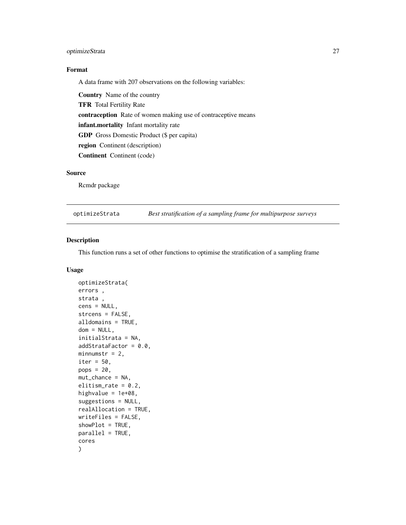## <span id="page-26-0"></span>optimizeStrata 27

## Format

A data frame with 207 observations on the following variables:

Country Name of the country TFR Total Fertility Rate contraception Rate of women making use of contraceptive means infant.mortality Infant mortality rate GDP Gross Domestic Product (\$ per capita) region Continent (description) Continent Continent (code)

## Source

Rcmdr package

optimizeStrata *Best stratification of a sampling frame for multipurpose surveys*

## Description

This function runs a set of other functions to optimise the stratification of a sampling frame

## Usage

```
optimizeStrata(
errors ,
strata ,
cens = NULL,
strcens = FALSE,
alldomains = TRUE,
dom = NULL,initialStrata = NA,
addStrataFactor = 0.0,
minnumstr = 2,
iter = 50,
pops = 20,
mut_chance = NA,
elitism_rate = 0.2,
highvalue = 1e+08,
suggestions = NULL,
realAllocation = TRUE,
writeFiles = FALSE,
showPlot = TRUE,
parallel = TRUE,
cores
)
```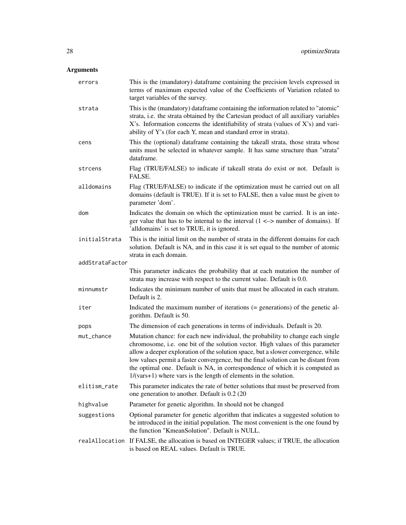## Arguments

| errors          | This is the (mandatory) dataframe containing the precision levels expressed in<br>terms of maximum expected value of the Coefficients of Variation related to<br>target variables of the survey.                                                                                                                                                                                                                                                                                                   |
|-----------------|----------------------------------------------------------------------------------------------------------------------------------------------------------------------------------------------------------------------------------------------------------------------------------------------------------------------------------------------------------------------------------------------------------------------------------------------------------------------------------------------------|
| strata          | This is the (mandatory) dataframe containing the information related to "atomic"<br>strata, i.e. the strata obtained by the Cartesian product of all auxiliary variables<br>X's. Information concerns the identifiability of strata (values of X's) and vari-<br>ability of Y's (for each Y, mean and standard error in strata).                                                                                                                                                                   |
| cens            | This the (optional) dataframe containing the takeall strata, those strata whose<br>units must be selected in whatever sample. It has same structure than "strata"<br>dataframe.                                                                                                                                                                                                                                                                                                                    |
| strcens         | Flag (TRUE/FALSE) to indicate if takeall strata do exist or not. Default is<br>FALSE.                                                                                                                                                                                                                                                                                                                                                                                                              |
| alldomains      | Flag (TRUE/FALSE) to indicate if the optimization must be carried out on all<br>domains (default is TRUE). If it is set to FALSE, then a value must be given to<br>parameter 'dom'.                                                                                                                                                                                                                                                                                                                |
| dom             | Indicates the domain on which the optimization must be carried. It is an inte-<br>ger value that has to be internal to the interval $(1 \le x$ number of domains). If<br>'alldomains' is set to TRUE, it is ignored.                                                                                                                                                                                                                                                                               |
| initialStrata   | This is the initial limit on the number of strata in the different domains for each<br>solution. Default is NA, and in this case it is set equal to the number of atomic<br>strata in each domain.                                                                                                                                                                                                                                                                                                 |
| addStrataFactor |                                                                                                                                                                                                                                                                                                                                                                                                                                                                                                    |
|                 | This parameter indicates the probability that at each mutation the number of<br>strata may increase with respect to the current value. Default is 0.0.                                                                                                                                                                                                                                                                                                                                             |
| minnumstr       | Indicates the minimum number of units that must be allocated in each stratum.<br>Default is 2.                                                                                                                                                                                                                                                                                                                                                                                                     |
| iter            | Indicated the maximum number of iterations (= generations) of the genetic al-<br>gorithm. Default is 50.                                                                                                                                                                                                                                                                                                                                                                                           |
| pops            | The dimension of each generations in terms of individuals. Default is 20.                                                                                                                                                                                                                                                                                                                                                                                                                          |
| mut_chance      | Mutation chance: for each new individual, the probability to change each single<br>chromosome, i.e. one bit of the solution vector. High values of this parameter<br>allow a deeper exploration of the solution space, but a slower convergence, while<br>low values permit a faster convergence, but the final solution can be distant from<br>the optimal one. Default is NA, in correspondence of which it is computed as<br>$1/(vars+1)$ where vars is the length of elements in the solution. |
| elitism_rate    | This parameter indicates the rate of better solutions that must be preserved from<br>one generation to another. Default is 0.2 (20                                                                                                                                                                                                                                                                                                                                                                 |
| highvalue       | Parameter for genetic algorithm. In should not be changed                                                                                                                                                                                                                                                                                                                                                                                                                                          |
| suggestions     | Optional parameter for genetic algorithm that indicates a suggested solution to<br>be introduced in the initial population. The most convenient is the one found by<br>the function "KmeanSolution". Default is NULL.                                                                                                                                                                                                                                                                              |
|                 | realAllocation If FALSE, the allocation is based on INTEGER values; if TRUE, the allocation<br>is based on REAL values. Default is TRUE.                                                                                                                                                                                                                                                                                                                                                           |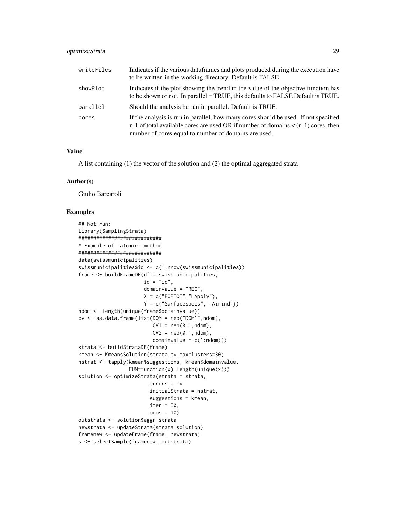## optimizeStrata 29

| writeFiles | Indicates if the various data frames and plots produced during the execution have<br>to be written in the working directory. Default is FALSE.                                                                                       |
|------------|--------------------------------------------------------------------------------------------------------------------------------------------------------------------------------------------------------------------------------------|
| showPlot   | Indicates if the plot showing the trend in the value of the objective function has<br>to be shown or not. In parallel = TRUE, this defaults to FALSE Default is TRUE.                                                                |
| parallel   | Should the analysis be run in parallel. Default is TRUE.                                                                                                                                                                             |
| cores      | If the analysis is run in parallel, how many cores should be used. If not specified<br>n-1 of total available cores are used OR if number of domains $\lt$ (n-1) cores, then<br>number of cores equal to number of domains are used. |

## Value

A list containing (1) the vector of the solution and (2) the optimal aggregated strata

#### Author(s)

Giulio Barcaroli

```
## Not run:
library(SamplingStrata)
############################
# Example of "atomic" method
############################
data(swissmunicipalities)
swissmunicipalities$id <- c(1:nrow(swissmunicipalities))
frame <- buildFrameDF(df = swissmunicipalities,
                      id = "id",domainvalue = "REG",
                      X = c("POPTOT", "HApoly"),Y = c("Surfacesbois", "Airind"))
ndom <- length(unique(frame$domainvalue))
cv \leq -as.data frame(list(DOM = rep("DOM1",ndom),CV1 = rep(0.1, ndom),CV2 = rep(0.1, ndom),domainvalue = c(1:ndom))strata <- buildStrataDF(frame)
kmean <- KmeansSolution(strata,cv,maxclusters=30)
nstrat <- tapply(kmean$suggestions, kmean$domainvalue,
                 FUN=function(x) length(unique(x)))
solution <- optimizeStrata(strata = strata,
                        errors = cv,initialStrata = nstrat,
                        suggestions = kmean,
                        iter = 50,
                        pops = 10)
outstrata <- solution$aggr_strata
newstrata <- updateStrata(strata,solution)
framenew <- updateFrame(frame, newstrata)
s <- selectSample(framenew, outstrata)
```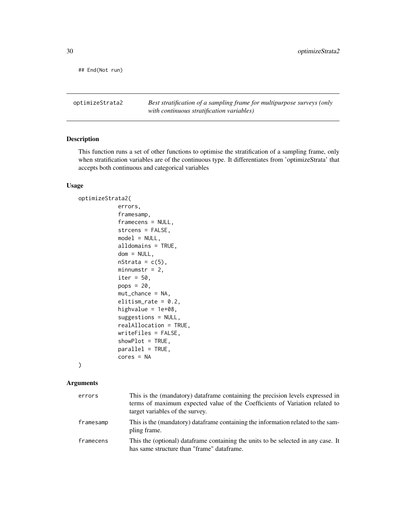<span id="page-29-0"></span>## End(Not run)

optimizeStrata2 *Best stratification of a sampling frame for multipurpose surveys (only with continuous stratification variables)*

## Description

This function runs a set of other functions to optimise the stratification of a sampling frame, only when stratification variables are of the continuous type. It differentiates from 'optimizeStrata' that accepts both continuous and categorical variables

## Usage

```
optimizeStrata2(
            errors,
            framesamp,
            framecens = NULL,
            strcens = FALSE,
            model = NULL,alldomains = TRUE,
            dom = NULL,nStrata = c(5),
            minnumstr = 2,
            iter = 50,
            pops = 20,
            mut_chance = NA,
            elitism_rate = 0.2,
            highvalue = 1e+08,
            suggestions = NULL,
            realAllocation = TRUE,
            writeFiles = FALSE,
            showPlot = TRUE,
            parallel = TRUE,
            cores = NA
```

```
)
```
## Arguments

| errors    | This is the (mandatory) dataframe containing the precision levels expressed in<br>terms of maximum expected value of the Coefficients of Variation related to<br>target variables of the survey. |
|-----------|--------------------------------------------------------------------------------------------------------------------------------------------------------------------------------------------------|
| framesamp | This is the (mandatory) dataframe containing the information related to the sam-<br>pling frame.                                                                                                 |
| framecens | This the (optional) dataframe containing the units to be selected in any case. It<br>has same structure than "frame" dataframe.                                                                  |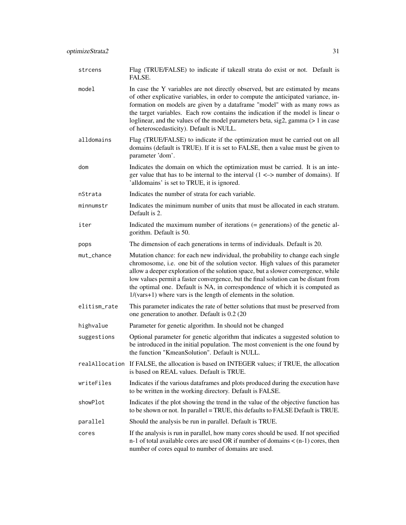| strcens    | Flag (TRUE/FALSE) to indicate if takeall strata do exist or not. Default is<br>FALSE.                                                                                                                                                                                                                                                                                                                                                                              |
|------------|--------------------------------------------------------------------------------------------------------------------------------------------------------------------------------------------------------------------------------------------------------------------------------------------------------------------------------------------------------------------------------------------------------------------------------------------------------------------|
| model      | In case the Y variables are not directly observed, but are estimated by means<br>of other explicative variables, in order to compute the anticipated variance, in-<br>formation on models are given by a dataframe "model" with as many rows as<br>the target variables. Each row contains the indication if the model is linear o<br>loglinear, and the values of the model parameters beta, sig2, gamma (> 1 in case<br>of heteroscedasticity). Default is NULL. |
| alldomains | Flag (TRUE/FALSE) to indicate if the optimization must be carried out on all<br>domains (default is TRUE). If it is set to FALSE, then a value must be given to<br>parameter 'dom'.                                                                                                                                                                                                                                                                                |
| dom        | Indicates the domain on which the optimization must be carried. It is an inte-<br>ger value that has to be internal to the interval $(1 \le x$ number of domains). If<br>'alldomains' is set to TRUE, it is ignored.                                                                                                                                                                                                                                               |
| nStrata    | Indicates the number of strata for each variable.                                                                                                                                                                                                                                                                                                                                                                                                                  |
| minnumstr  | Indicates the minimum number of units that must be allocated in each stratum.<br>Default is 2.                                                                                                                                                                                                                                                                                                                                                                     |
| iter       | Indicated the maximum number of iterations (= generations) of the genetic al-<br>gorithm. Default is 50.                                                                                                                                                                                                                                                                                                                                                           |
| pops       | The dimension of each generations in terms of individuals. Default is 20.                                                                                                                                                                                                                                                                                                                                                                                          |
| mut_chance | Mutation chance: for each new individual, the probability to change each single<br>chromosome, i.e. one bit of the solution vector. High values of this parameter<br>allow a deeper exploration of the solution space, but a slower convergence, while<br>$\mathbf{r} = \mathbf{r} \cdot \mathbf{r}$ , and $\mathbf{r} = \mathbf{r} \cdot \mathbf{r}$ , and $\mathbf{r} = \mathbf{r} \cdot \mathbf{r}$ , and $\mathbf{r} = \mathbf{r} \cdot \mathbf{r}$            |

chromosor. allow a dee low values permit a faster convergence, but the final solution can be distant from the optimal one. Default is NA, in correspondence of which it is computed as 1/(vars+1) where vars is the length of elements in the solution.

- elitism\_rate This parameter indicates the rate of better solutions that must be preserved from one generation to another. Default is 0.2 (20
- highvalue Parameter for genetic algorithm. In should not be changed
- suggestions Optional parameter for genetic algorithm that indicates a suggested solution to be introduced in the initial population. The most convenient is the one found by the function "KmeanSolution". Default is NULL.
- realAllocation If FALSE, the allocation is based on INTEGER values; if TRUE, the allocation is based on REAL values. Default is TRUE.
- writeFiles Indicates if the various dataframes and plots produced during the execution have to be written in the working directory. Default is FALSE.
- showPlot Indicates if the plot showing the trend in the value of the objective function has to be shown or not. In parallel = TRUE, this defaults to FALSE Default is TRUE.
- parallel Should the analysis be run in parallel. Default is TRUE.
- cores If the analysis is run in parallel, how many cores should be used. If not specified n-1 of total available cores are used OR if number of domains  $\lt$  (n-1) cores, then number of cores equal to number of domains are used.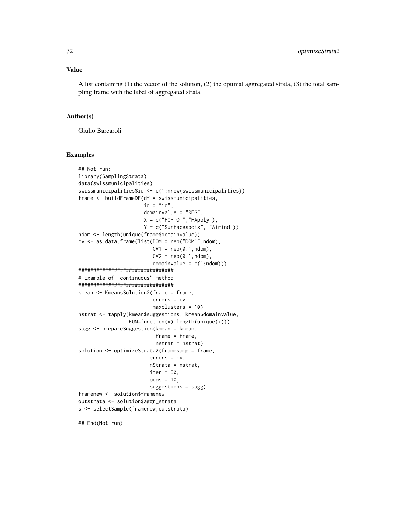## Value

A list containing (1) the vector of the solution, (2) the optimal aggregated strata, (3) the total sampling frame with the label of aggregated strata

## Author(s)

Giulio Barcaroli

#### Examples

```
## Not run:
library(SamplingStrata)
data(swissmunicipalities)
swissmunicipalities$id <- c(1:nrow(swissmunicipalities))
frame <- buildFrameDF(df = swissmunicipalities,
                      id = "id",domainvalue = "REG",
                      X = c("POPTOT", "HApoly"),
                      Y = c("Surfacesbois", "Airind"))
ndom <- length(unique(frame$domainvalue))
cv \leq -as.data frame(list(DOM = rep("DOM",ndom),CV1 = rep(0.1, ndom),CV2 = rep(0.1, ndom),domainvalue = c(1:ndom))################################
# Example of "continuous" method
################################
kmean <- KmeansSolution2(frame = frame,
                         errors = cv,
                         maxclusters = 10)
nstrat <- tapply(kmean$suggestions, kmean$domainvalue,
                 FUN=function(x) length(unique(x)))
sugg <- prepareSuggestion(kmean = kmean,
                          frame = frame,
                          nstrat = nstrat)
solution <- optimizeStrata2(framesamp = frame,
                        errors = cv,nStrata = nstrat,
                        iter = 50,
                        pops = 10,suggestions = sugg)
framenew <- solution$framenew
outstrata <- solution$aggr_strata
s <- selectSample(framenew,outstrata)
```
## End(Not run)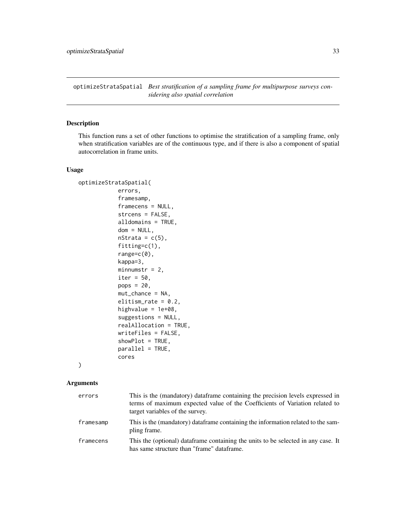<span id="page-32-0"></span>optimizeStrataSpatial *Best stratification of a sampling frame for multipurpose surveys considering also spatial correlation*

## Description

This function runs a set of other functions to optimise the stratification of a sampling frame, only when stratification variables are of the continuous type, and if there is also a component of spatial autocorrelation in frame units.

#### Usage

```
optimizeStrataSpatial(
            errors,
            framesamp,
            framecens = NULL,
            strcens = FALSE,
            alldomains = TRUE,
            dom = NULL,
            nStrata = c(5),
            fitting=c(1),
            range=c(0),
            kappa=3,
            minnumstr = 2,
            iter = 50,
            pops = 20,
            mut{\_}chance = NA,
            elitism_rate = 0.2,
            highvalue = 1e+08,
            suggestions = NULL,
            realAllocation = TRUE,
            writeFiles = FALSE,
            showPlot = TRUE,
            parallel = TRUE,
            cores
```
)

## Arguments

| errors    | This is the (mandatory) dataframe containing the precision levels expressed in<br>terms of maximum expected value of the Coefficients of Variation related to<br>target variables of the survey. |
|-----------|--------------------------------------------------------------------------------------------------------------------------------------------------------------------------------------------------|
| framesamp | This is the (mandatory) dataframe containing the information related to the sam-<br>pling frame.                                                                                                 |
| framecens | This the (optional) dataframe containing the units to be selected in any case. It<br>has same structure than "frame" dataframe.                                                                  |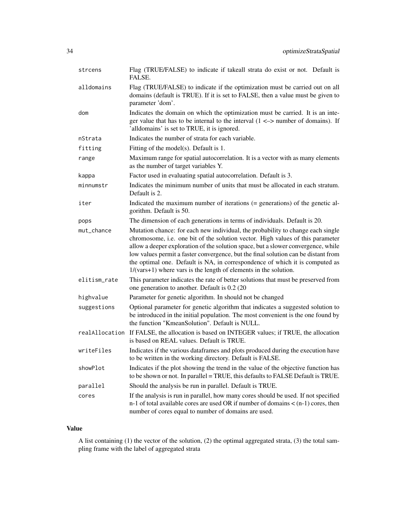| strcens      | Flag (TRUE/FALSE) to indicate if takeall strata do exist or not. Default is<br>FALSE.                                                                                                                                                                                                                                                                                                                                                                                                              |
|--------------|----------------------------------------------------------------------------------------------------------------------------------------------------------------------------------------------------------------------------------------------------------------------------------------------------------------------------------------------------------------------------------------------------------------------------------------------------------------------------------------------------|
| alldomains   | Flag (TRUE/FALSE) to indicate if the optimization must be carried out on all<br>domains (default is TRUE). If it is set to FALSE, then a value must be given to<br>parameter 'dom'.                                                                                                                                                                                                                                                                                                                |
| dom          | Indicates the domain on which the optimization must be carried. It is an inte-<br>ger value that has to be internal to the interval $(1 \le$ > number of domains). If<br>'alldomains' is set to TRUE, it is ignored.                                                                                                                                                                                                                                                                               |
| nStrata      | Indicates the number of strata for each variable.                                                                                                                                                                                                                                                                                                                                                                                                                                                  |
| fitting      | Fitting of the model(s). Default is 1.                                                                                                                                                                                                                                                                                                                                                                                                                                                             |
| range        | Maximum range for spatial autocorrelation. It is a vector with as many elements<br>as the number of target variables Y.                                                                                                                                                                                                                                                                                                                                                                            |
| kappa        | Factor used in evaluating spatial autocorrelation. Default is 3.                                                                                                                                                                                                                                                                                                                                                                                                                                   |
| minnumstr    | Indicates the minimum number of units that must be allocated in each stratum.<br>Default is 2.                                                                                                                                                                                                                                                                                                                                                                                                     |
| iter         | Indicated the maximum number of iterations (= generations) of the genetic al-<br>gorithm. Default is 50.                                                                                                                                                                                                                                                                                                                                                                                           |
| pops         | The dimension of each generations in terms of individuals. Default is 20.                                                                                                                                                                                                                                                                                                                                                                                                                          |
| mut chance   | Mutation chance: for each new individual, the probability to change each single<br>chromosome, i.e. one bit of the solution vector. High values of this parameter<br>allow a deeper exploration of the solution space, but a slower convergence, while<br>low values permit a faster convergence, but the final solution can be distant from<br>the optimal one. Default is NA, in correspondence of which it is computed as<br>$1/(vars+1)$ where vars is the length of elements in the solution. |
| elitism_rate | This parameter indicates the rate of better solutions that must be preserved from<br>one generation to another. Default is 0.2 (20)                                                                                                                                                                                                                                                                                                                                                                |
| highvalue    | Parameter for genetic algorithm. In should not be changed                                                                                                                                                                                                                                                                                                                                                                                                                                          |
| suggestions  | Optional parameter for genetic algorithm that indicates a suggested solution to<br>be introduced in the initial population. The most convenient is the one found by<br>the function "KmeanSolution". Default is NULL.                                                                                                                                                                                                                                                                              |
|              | realAllocation If FALSE, the allocation is based on INTEGER values; if TRUE, the allocation<br>is based on REAL values. Default is TRUE.                                                                                                                                                                                                                                                                                                                                                           |
| writeFiles   | Indicates if the various dataframes and plots produced during the execution have<br>to be written in the working directory. Default is FALSE.                                                                                                                                                                                                                                                                                                                                                      |
| showPlot     | Indicates if the plot showing the trend in the value of the objective function has<br>to be shown or not. In parallel = TRUE, this defaults to FALSE Default is TRUE.                                                                                                                                                                                                                                                                                                                              |
| parallel     | Should the analysis be run in parallel. Default is TRUE.                                                                                                                                                                                                                                                                                                                                                                                                                                           |
| cores        | If the analysis is run in parallel, how many cores should be used. If not specified<br>n-1 of total available cores are used OR if number of domains $\lt$ (n-1) cores, then<br>number of cores equal to number of domains are used.                                                                                                                                                                                                                                                               |

## Value

A list containing (1) the vector of the solution, (2) the optimal aggregated strata, (3) the total sampling frame with the label of aggregated strata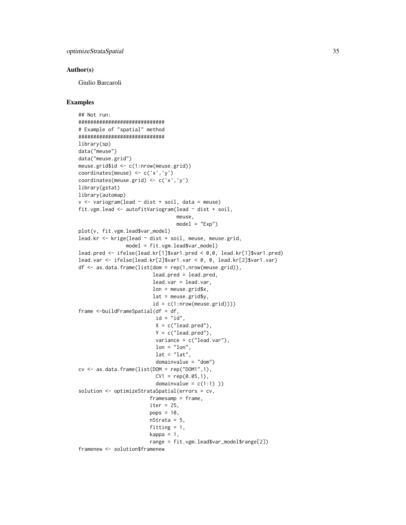## Author(s)

Giulio Barcaroli

```
## Not run:
#############################
# Example of "spatial" method
#############################
library(sp)
data("meuse")
data("meuse.grid")
meuse.grid$id <- c(1:nrow(meuse.grid))
coordinates(meuse) <- c('x','y')
coordinates(meuse.grid) <- c('x','y')
library(gstat)
library(automap)
v \le variogram(lead \sim dist + soil, data = meuse)
fit.vgm.lead <- autofitVariogram(lead ~ dist + soil,
                                 meuse,
                                 model = "Exp")plot(v, fit.vgm.lead$var_model)
lead.kr <- krige(lead ~ dist + soil, meuse, meuse.grid,
                model = fit.vgm.lead$var_model)
lead.pred <- ifelse(lead.kr[1]$var1.pred < 0,0, lead.kr[1]$var1.pred)
lead.var <- ifelse(lead.kr[2]$var1.var < 0, 0, lead.kr[2]$var1.var)
df \leq as.data.frame(list(dom = rep(1,nrow(meuse.grid)),
                         lead.pred = lead.pred,
                         lead.var = lead.var,
                         lon = meuse.grid$x,
                         lat = meuse.grid$y,
                         id = c(1:nrow(meuse.grid))))frame \le-buildFrameSpatial(df = df,
                          id = "id",X = c("lead.pred"),
                          Y = c("lead.pred"),
                          variance = c("lead.var"),
                          lon = "lon",lat = "lat",domainvalue = "dom")
cv \leq -as.data frame(list(DOM = rep("DOM1", 1),CV1 = rep(0.05, 1),domainvalue = c(1:1))
solution <- optimizeStrataSpatial(errors = cv,
                        framesamp = frame,
                        iter = 25,pops = 10,
                        nStrata = 5,
                        fitting = 1,
                        kappa = 1,
                        range = fit.vgm.lead$var_model$range[2])
framenew <- solution$framenew
```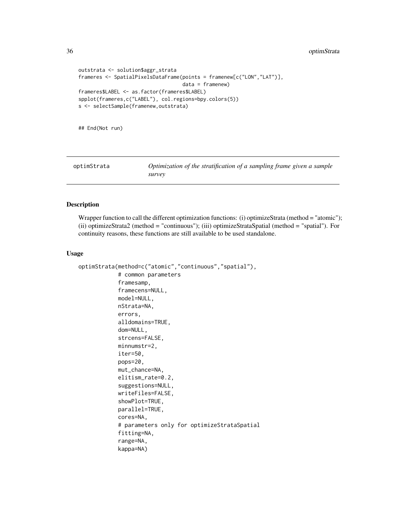```
outstrata <- solution$aggr_strata
frameres <- SpatialPixelsDataFrame(points = framenew[c("LON","LAT")],
                                   data = framenew)
frameres$LABEL <- as.factor(frameres$LABEL)
spplot(frameres,c("LABEL"), col.regions=bpy.colors(5))
s <- selectSample(framenew,outstrata)
```
## End(Not run)

| optimStrata | Optimization of the stratification of a sampling frame given a sample |
|-------------|-----------------------------------------------------------------------|
|             | survey                                                                |

## Description

Wrapper function to call the different optimization functions: (i) optimizeStrata (method = "atomic"); (ii) optimizeStrata2 (method = "continuous"); (iii) optimizeStrataSpatial (method = "spatial"). For continuity reasons, these functions are still available to be used standalone.

#### Usage

```
optimStrata(method=c("atomic","continuous","spatial"),
            # common parameters
            framesamp,
            framecens=NULL,
            model=NULL,
            nStrata=NA,
            errors,
            alldomains=TRUE,
            dom=NULL,
            strcens=FALSE,
            minnumstr=2,
            iter=50,
            pops=20,
            mut_chance=NA,
            elitism_rate=0.2,
            suggestions=NULL,
            writeFiles=FALSE,
            showPlot=TRUE,
            parallel=TRUE,
            cores=NA,
            # parameters only for optimizeStrataSpatial
            fitting=NA,
            range=NA,
            kappa=NA)
```
<span id="page-35-0"></span>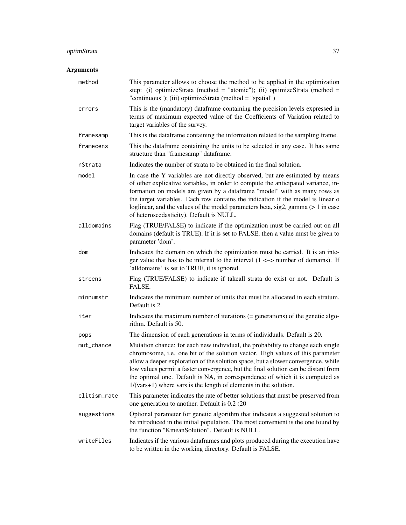## optimStrata 37

## Arguments

| method       | This parameter allows to choose the method to be applied in the optimization<br>step: (i) optimizeStrata (method = "atomic"); (ii) optimizeStrata (method =<br>"continuous"); (iii) optimizeStrata (method = "spatial")                                                                                                                                                                                                                                                                            |
|--------------|----------------------------------------------------------------------------------------------------------------------------------------------------------------------------------------------------------------------------------------------------------------------------------------------------------------------------------------------------------------------------------------------------------------------------------------------------------------------------------------------------|
| errors       | This is the (mandatory) dataframe containing the precision levels expressed in<br>terms of maximum expected value of the Coefficients of Variation related to<br>target variables of the survey.                                                                                                                                                                                                                                                                                                   |
| framesamp    | This is the dataframe containing the information related to the sampling frame.                                                                                                                                                                                                                                                                                                                                                                                                                    |
| framecens    | This the dataframe containing the units to be selected in any case. It has same<br>structure than "framesamp" dataframe.                                                                                                                                                                                                                                                                                                                                                                           |
| nStrata      | Indicates the number of strata to be obtained in the final solution.                                                                                                                                                                                                                                                                                                                                                                                                                               |
| model        | In case the Y variables are not directly observed, but are estimated by means<br>of other explicative variables, in order to compute the anticipated variance, in-<br>formation on models are given by a dataframe "model" with as many rows as<br>the target variables. Each row contains the indication if the model is linear o<br>loglinear, and the values of the model parameters beta, sig2, gamma (> 1 in case<br>of heteroscedasticity). Default is NULL.                                 |
| alldomains   | Flag (TRUE/FALSE) to indicate if the optimization must be carried out on all<br>domains (default is TRUE). If it is set to FALSE, then a value must be given to<br>parameter 'dom'.                                                                                                                                                                                                                                                                                                                |
| dom          | Indicates the domain on which the optimization must be carried. It is an inte-<br>ger value that has to be internal to the interval $(1 \le x$ number of domains). If<br>'alldomains' is set to TRUE, it is ignored.                                                                                                                                                                                                                                                                               |
| strcens      | Flag (TRUE/FALSE) to indicate if takeall strata do exist or not. Default is<br>FALSE.                                                                                                                                                                                                                                                                                                                                                                                                              |
| minnumstr    | Indicates the minimum number of units that must be allocated in each stratum.<br>Default is 2.                                                                                                                                                                                                                                                                                                                                                                                                     |
| iter         | Indicates the maximum number of iterations $(=$ generations) of the genetic algo-<br>rithm. Default is 50.                                                                                                                                                                                                                                                                                                                                                                                         |
| pops         | The dimension of each generations in terms of individuals. Default is 20.                                                                                                                                                                                                                                                                                                                                                                                                                          |
| mut_chance   | Mutation chance: for each new individual, the probability to change each single<br>chromosome, i.e. one bit of the solution vector. High values of this parameter<br>allow a deeper exploration of the solution space, but a slower convergence, while<br>low values permit a faster convergence, but the final solution can be distant from<br>the optimal one. Default is NA, in correspondence of which it is computed as<br>$1/(vars+1)$ where vars is the length of elements in the solution. |
| elitism_rate | This parameter indicates the rate of better solutions that must be preserved from<br>one generation to another. Default is 0.2 (20)                                                                                                                                                                                                                                                                                                                                                                |
| suggestions  | Optional parameter for genetic algorithm that indicates a suggested solution to<br>be introduced in the initial population. The most convenient is the one found by<br>the function "KmeanSolution". Default is NULL.                                                                                                                                                                                                                                                                              |
| writeFiles   | Indicates if the various dataframes and plots produced during the execution have<br>to be written in the working directory. Default is FALSE.                                                                                                                                                                                                                                                                                                                                                      |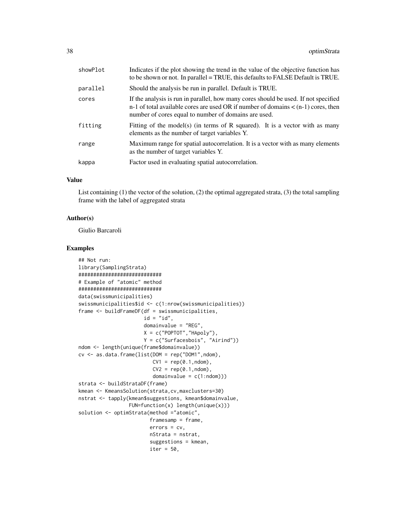| showPlot | Indicates if the plot showing the trend in the value of the objective function has<br>to be shown or not. In parallel = TRUE, this defaults to FALSE Default is TRUE.                                                                |
|----------|--------------------------------------------------------------------------------------------------------------------------------------------------------------------------------------------------------------------------------------|
| parallel | Should the analysis be run in parallel. Default is TRUE.                                                                                                                                                                             |
| cores    | If the analysis is run in parallel, how many cores should be used. If not specified<br>n-1 of total available cores are used OR if number of domains $\lt$ (n-1) cores, then<br>number of cores equal to number of domains are used. |
| fitting  | Fitting of the model(s) (in terms of $R$ squared). It is a vector with as many<br>elements as the number of target variables Y.                                                                                                      |
| range    | Maximum range for spatial autocorrelation. It is a vector with as many elements<br>as the number of target variables Y.                                                                                                              |
| kappa    | Factor used in evaluating spatial autocorrelation.                                                                                                                                                                                   |
|          |                                                                                                                                                                                                                                      |

#### Value

List containing (1) the vector of the solution, (2) the optimal aggregated strata, (3) the total sampling frame with the label of aggregated strata

## Author(s)

Giulio Barcaroli

```
## Not run:
library(SamplingStrata)
############################
# Example of "atomic" method
############################
data(swissmunicipalities)
swissmunicipalities$id <- c(1:nrow(swissmunicipalities))
frame <- buildFrameDF(df = swissmunicipalities,
                      id = "id",domainvalue = "REG",
                      X = c("POPTOT", "HApoly"),Y = c("Surfacesbois", "Airind"))
ndom <- length(unique(frame$domainvalue))
cv \leq -as.data frame(list(DOM = rep("DOM1",ndom),CV1 = rep(0.1, ndom),CV2 = rep(0.1, ndom),domainvalue = c(1:ndom))strata <- buildStrataDF(frame)
kmean <- KmeansSolution(strata,cv,maxclusters=30)
nstrat <- tapply(kmean$suggestions, kmean$domainvalue,
                 FUN=function(x) length(unique(x)))
solution <- optimStrata(method ="atomic",
                        framesamp = frame,
                        errors = cv,
                        nStrata = nstrat,
                        suggestions = kmean,
                        iter = 50,
```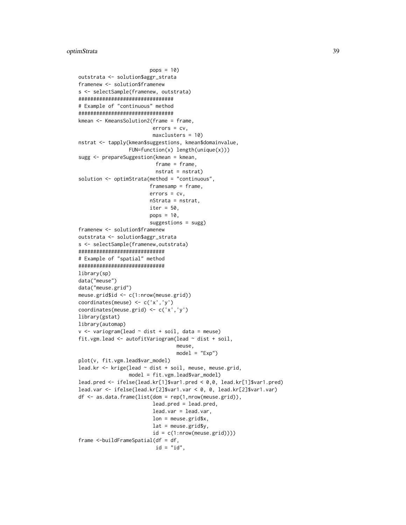```
pops = 10outstrata <- solution$aggr_strata
framenew <- solution$framenew
s <- selectSample(framenew, outstrata)
################################
# Example of "continuous" method
################################
kmean <- KmeansSolution2(frame = frame,
                         errors = cv,
                         maxclusters = 10)
nstrat <- tapply(kmean$suggestions, kmean$domainvalue,
                 FUN=function(x) length(unique(x)))
sugg <- prepareSuggestion(kmean = kmean,
                          frame = frame,
                          nstrat = nstrat)
solution <- optimStrata(method = "continuous",
                        framesamp = frame,
                        errors = cv,nStrata = nstrat,
                        iter = 50,
                        pops = 10,
                        suggestions = sugg)
framenew <- solution$framenew
outstrata <- solution$aggr_strata
s <- selectSample(framenew,outstrata)
#############################
# Example of "spatial" method
#############################
library(sp)
data("meuse")
data("meuse.grid")
meuse.grid$id <- c(1:nrow(meuse.grid))
coordinates(meuse) <- c('x','y')
coordinates(meuse.grid) <- c('x','y')
library(gstat)
library(automap)
v \le variogram(lead \sim dist + soil, data = meuse)
fit.vgm.lead <- autofitVariogram(lead ~ dist + soil,
                                 meuse,
                                 model = "Exp")plot(v, fit.vgm.lead$var_model)
lead.kr <- krige(lead ~ dist + soil, meuse, meuse.grid,
                 model = fit.vgm.lead$var_model)
lead.pred <- ifelse(lead.kr[1]$var1.pred < 0,0, lead.kr[1]$var1.pred)
lead.var <- ifelse(lead.kr[2]$var1.var < 0, 0, lead.kr[2]$var1.var)
df <- as.data.frame(list(dom = rep(1,nrow(meuse.grid)),
                         lead.pred = lead.pred,
                         lead.var = lead.var,
                         lon = meuse.grid$x,
                         lat = meuse.grid$y,
                         id = c(1:nrow(mouse.grid))))frame <-buildFrameSpatial(df = df,
                          id = "id",
```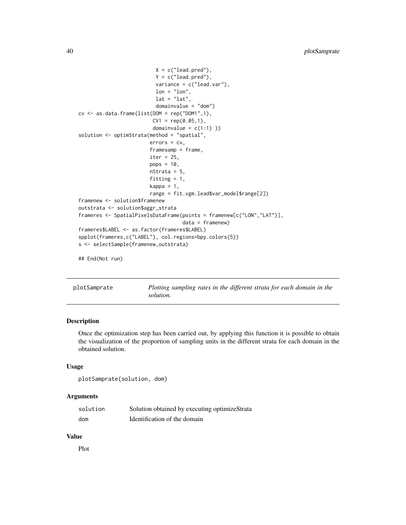```
X = c("lead.pred"),
                          Y = c("lead.pred"),variance = c("lead.var"),
                          lon = "lon",lat = "lat",domainvalue = "dom")
cv \leq -as.data frame(list(DOM = rep("DOM1", 1),CV1 = rep(0.05, 1),domainvalue = c(1:1))
solution <- optimStrata(method = "spatial",
                        errors = cv,
                        framesamp = frame,
                        iter = 25,
                        pops = 10,
                        nStrata = 5,
                        fitting = 1,
                        kappa = 1,
                        range = fit.vgm.lead$var_model$range[2])
framenew <- solution$framenew
outstrata <- solution$aggr_strata
frameres <- SpatialPixelsDataFrame(points = framenew[c("LON","LAT")],
                                   data = framenew)
frameres$LABEL <- as.factor(frameres$LABEL)
spplot(frameres,c("LABEL"), col.regions=bpy.colors(5))
s <- selectSample(framenew,outstrata)
```

```
## End(Not run)
```
plotSamprate *Plotting sampling rates in the different strata for each domain in the solution.*

## Description

Once the optimization step has been carried out, by applying this function it is possible to obtain the visualization of the proportion of sampling units in the different strata for each domain in the obtained solution.

#### Usage

```
plotSamprate(solution, dom)
```
## Arguments

| solution | Solution obtained by executing optimizeStrata |
|----------|-----------------------------------------------|
| dom      | Identification of the domain                  |

#### Value

Plot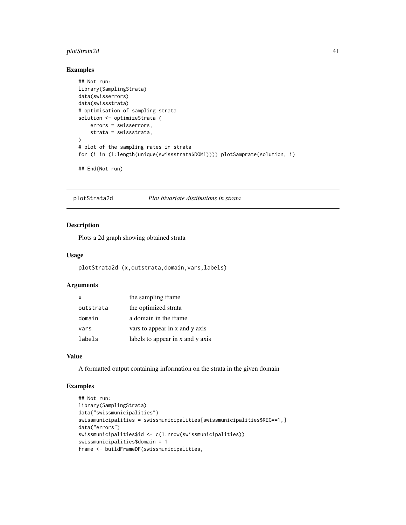## <span id="page-40-0"></span>plotStrata2d 41

## Examples

```
## Not run:
library(SamplingStrata)
data(swisserrors)
data(swissstrata)
# optimisation of sampling strata
solution <- optimizeStrata (
   errors = swisserrors,
   strata = swissstrata,
\lambda# plot of the sampling rates in strata
for (i in (1:length(unique(swissstrata$DOM1)))) plotSamprate(solution, i)
```
## End(Not run)

plotStrata2d *Plot bivariate distibutions in strata*

## Description

Plots a 2d graph showing obtained strata

## Usage

plotStrata2d (x,outstrata,domain,vars,labels)

## Arguments

| x         | the sampling frame               |
|-----------|----------------------------------|
| outstrata | the optimized strata             |
| domain    | a domain in the frame            |
| vars      | vars to appear in x and y axis   |
| labels    | labels to appear in x and y axis |

## Value

A formatted output containing information on the strata in the given domain

```
## Not run:
library(SamplingStrata)
data("swissmunicipalities")
swissmunicipalities = swissmunicipalities[swissmunicipalities$REG==1,]
data("errors")
swissmunicipalities$id <- c(1:nrow(swissmunicipalities))
swissmunicipalities$domain = 1
frame <- buildFrameDF(swissmunicipalities,
```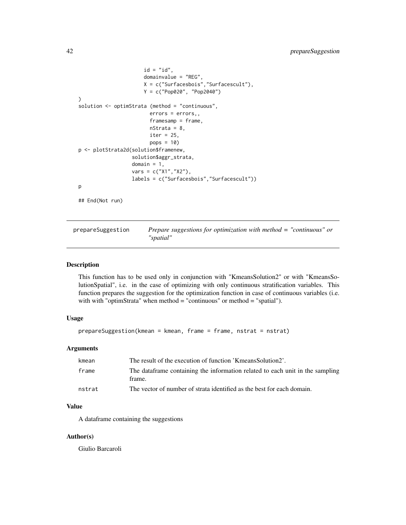```
id = "id",domainvalue = "REG",
                      X = c("Surfacesbois","Surfacescult"),
                      Y = c("Pop020", "Pop2040")
)
solution <- optimStrata (method = "continuous",
                        errors = errors,,
                        framesamp = frame,
                        nStrata = 8,
                        iter = 25,pops = 10)
p <- plotStrata2d(solution$framenew,
                  solution$aggr_strata,
                  domain = 1,
                  vars = c("X1","X2"),
                  labels = c("Surfacesbois","Surfacescult"))
p
## End(Not run)
```

| prepareSuggestion | Prepare suggestions for optimization with method $=$ "continuous" or |
|-------------------|----------------------------------------------------------------------|
|                   | "spatial"                                                            |

#### Description

This function has to be used only in conjunction with "KmeansSolution2" or with "KmeansSolutionSpatial", i.e. in the case of optimizing with only continuous stratification variables. This function prepares the suggestion for the optimization function in case of continuous variables (i.e. with with "optimStrata" when method = "continuous" or method = "spatial").

## Usage

```
prepareSuggestion(kmean = kmean, frame = frame, nstrat = nstrat)
```
#### Arguments

| kmean  | The result of the execution of function 'KmeansSolution2'.                               |
|--------|------------------------------------------------------------------------------------------|
| frame  | The data frame containing the information related to each unit in the sampling<br>frame. |
| nstrat | The vector of number of strata identified as the best for each domain.                   |

## Value

A dataframe containing the suggestions

#### Author(s)

Giulio Barcaroli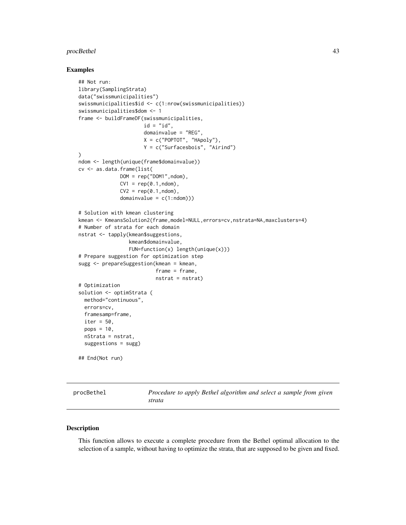#### <span id="page-42-0"></span>procBethel 43

#### Examples

```
## Not run:
library(SamplingStrata)
data("swissmunicipalities")
swissmunicipalities$id <- c(1:nrow(swissmunicipalities))
swissmunicipalities$dom <- 1
frame <- buildFrameDF(swissmunicipalities,
                      id = "id",domainvalue = "REG",
                      X = c("POPTOT", "HApoly"),
                      Y = c("Surfacesbois", "Airind")
)
ndom <- length(unique(frame$domainvalue))
cv <- as.data.frame(list(
              DOM = rep("DOM1",ndom),CV1 = rep(0.1, ndom),CV2 = rep(0.1, ndom),domainvalue = c(1:ndom))# Solution with kmean clustering
kmean <- KmeansSolution2(frame,model=NULL,errors=cv,nstrata=NA,maxclusters=4)
# Number of strata for each domain
nstrat <- tapply(kmean$suggestions,
                 kmean$domainvalue,
                 FUN=function(x) length(unique(x)))
# Prepare suggestion for optimization step
sugg <- prepareSuggestion(kmean = kmean,
                          frame = frame,
                          nstrat = nstrat)
# Optimization
solution <- optimStrata (
  method="continuous",
  errors=cv,
  framesamp=frame,
  iter = 50,
  pops = 10,
  nStrata = nstrat,
  suggestions = sugg)
## End(Not run)
```
procBethel *Procedure to apply Bethel algorithm and select a sample from given strata*

#### Description

This function allows to execute a complete procedure from the Bethel optimal allocation to the selection of a sample, without having to optimize the strata, that are supposed to be given and fixed.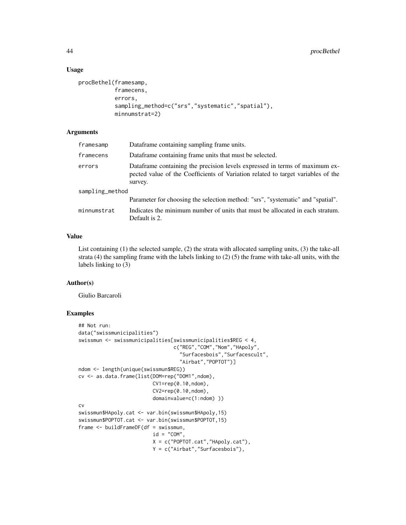## Usage

```
procBethel(framesamp,
           framecens,
           errors,
           sampling_method=c("srs","systematic","spatial"),
           minnumstrat=2)
```
## Arguments

| framesamp       | Dataframe containing sampling frame units.                                                                                                                                 |  |
|-----------------|----------------------------------------------------------------------------------------------------------------------------------------------------------------------------|--|
| framecens       | Dataframe containing frame units that must be selected.                                                                                                                    |  |
| errors          | Dataframe containing the precision levels expressed in terms of maximum ex-<br>pected value of the Coefficients of Variation related to target variables of the<br>survey. |  |
| sampling_method |                                                                                                                                                                            |  |
|                 | Parameter for choosing the selection method: "srs", "systematic" and "spatial".                                                                                            |  |
| minnumstrat     | Indicates the minimum number of units that must be allocated in each stratum.<br>Default is 2.                                                                             |  |

## Value

List containing (1) the selected sample, (2) the strata with allocated sampling units, (3) the take-all strata  $(4)$  the sampling frame with the labels linking to  $(2)$  (5) the frame with take-all units, with the labels linking to (3)

## Author(s)

Giulio Barcaroli

```
## Not run:
data("swissmunicipalities")
swissmun <- swissmunicipalities[swissmunicipalities$REG < 4,
                                c("REG","COM","Nom","HApoly",
                                  "Surfacesbois","Surfacescult",
                                  "Airbat","POPTOT")]
ndom <- length(unique(swissmun$REG))
cv <- as.data.frame(list(DOM=rep("DOM1",ndom),
                         CV1=rep(0.10,ndom),
                         CV2=rep(0.10,ndom),
                         domainvalue=c(1:ndom) ))
cv
swissmun$HApoly.cat <- var.bin(swissmun$HApoly,15)
swissmun$POPTOT.cat <- var.bin(swissmun$POPTOT,15)
frame <- buildFrameDF(df = swissmun,
                         id = "COM",X = c("POPTOT.cat","HApoly.cat"),
                         Y = c("Airbat","Surfacesbois"),
```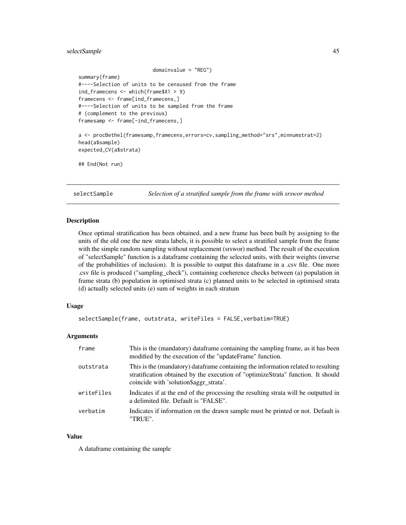## <span id="page-44-0"></span>selectSample 45

```
domainvalue = "REG")
summary(frame)
#----Selection of units to be censused from the frame
ind_framecens <- which(frame$X1 > 9)
framecens <- frame[ind_framecens,]
#----Selection of units to be sampled from the frame
# (complement to the previous)
framesamp <- frame[-ind_framecens,]
a <- procBethel(framesamp,framecens,errors=cv,sampling_method="srs",minnumstrat=2)
head(a$sample)
```
expected\_CV(a\$strata)

```
## End(Not run)
```
selectSample *Selection of a stratified sample from the frame with srswor method*

#### **Description**

Once optimal stratification has been obtained, and a new frame has been built by assigning to the units of the old one the new strata labels, it is possible to select a stratified sample from the frame with the simple random sampling without replacement (srswor) method. The result of the execution of "selectSample" function is a dataframe containing the selected units, with their weights (inverse of the probabilities of inclusion). It is possible to output this dataframe in a .csv file. One more .csv file is produced ("sampling\_check"), containing coeherence checks between (a) population in frame strata (b) population in optimised strata (c) planned units to be selected in optimised strata (d) actually selected units (e) sum of weights in each stratum

## Usage

```
selectSample(frame, outstrata, writeFiles = FALSE,verbatim=TRUE)
```
#### Arguments

| frame      | This is the (mandatory) dataframe containing the sampling frame, as it has been<br>modified by the execution of the "updateFrame" function.                                                                       |
|------------|-------------------------------------------------------------------------------------------------------------------------------------------------------------------------------------------------------------------|
| outstrata  | This is the (mandatory) dataframe containing the information related to resulting<br>stratification obtained by the execution of "optimizeStrata" function. It should<br>coincide with 'solution \$ aggr strata'. |
| writeFiles | Indicates if at the end of the processing the resulting strata will be outputted in<br>a delimited file. Default is "FALSE".                                                                                      |
| verbatim   | Indicates if information on the drawn sample must be printed or not. Default is<br>"TRUE".                                                                                                                        |

#### Value

A dataframe containing the sample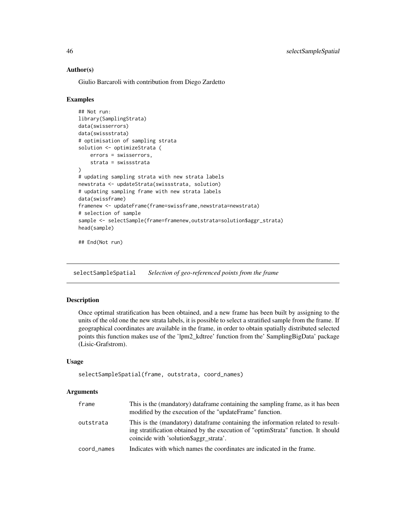## Author(s)

Giulio Barcaroli with contribution from Diego Zardetto

#### Examples

```
## Not run:
library(SamplingStrata)
data(swisserrors)
data(swissstrata)
# optimisation of sampling strata
solution <- optimizeStrata (
   errors = swisserrors,
   strata = swissstrata
)
# updating sampling strata with new strata labels
newstrata <- updateStrata(swissstrata, solution)
# updating sampling frame with new strata labels
data(swissframe)
framenew <- updateFrame(frame=swissframe,newstrata=newstrata)
# selection of sample
sample <- selectSample(frame=framenew,outstrata=solution$aggr_strata)
head(sample)
## End(Not run)
```
selectSampleSpatial *Selection of geo-referenced points from the frame*

## Description

Once optimal stratification has been obtained, and a new frame has been built by assigning to the units of the old one the new strata labels, it is possible to select a stratified sample from the frame. If geographical coordinates are available in the frame, in order to obtain spatially distributed selected points this function makes use of the 'lpm2\_kdtree' function from the' SamplingBigData' package (Lisic-Grafstrom).

## Usage

```
selectSampleSpatial(frame, outstrata, coord_names)
```
#### Arguments

| frame       | This is the (mandatory) dataframe containing the sampling frame, as it has been<br>modified by the execution of the "updateFrame" function.                                                                      |
|-------------|------------------------------------------------------------------------------------------------------------------------------------------------------------------------------------------------------------------|
| outstrata   | This is the (mandatory) dataframe containing the information related to result-<br>ing stratification obtained by the execution of "optimStrata" function. It should<br>coincide with 'solution \$ aggr strata'. |
| coord names | Indicates with which names the coordinates are indicated in the frame.                                                                                                                                           |

<span id="page-45-0"></span>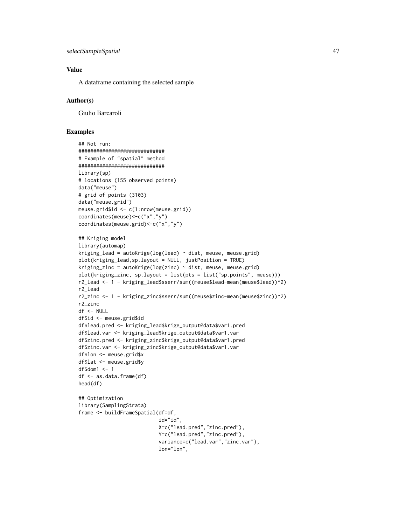## Value

A dataframe containing the selected sample

#### Author(s)

Giulio Barcaroli

```
## Not run:
#############################
# Example of "spatial" method
#############################
library(sp)
# locations (155 observed points)
data("meuse")
# grid of points (3103)
data("meuse.grid")
meuse.grid$id <- c(1:nrow(meuse.grid))
coordinates(meuse)<-c("x","y")
coordinates(meuse.grid)<-c("x","y")
## Kriging model
library(automap)
kriging_lead = autoKrige(log(lead) \sim dist, meuse, meuse.grid)
plot(kriging_lead,sp.layout = NULL, justPosition = TRUE)
kriging_zinc = autoKrige(log(zinc) \sim dist, meuse, meuse.grid)
plot(kriging_zinc, sp.layout = list(pts = list("sp.points", meuse)))
r2_lead <- 1 - kriging_lead$sserr/sum((meuse$lead-mean(meuse$lead))^2)
r2_lead
r2_zinc <- 1 - kriging_zinc$sserr/sum((meuse$zinc-mean(meuse$zinc))^2)
r2_zinc
df <- NULL
df$id <- meuse.grid$id
df$lead.pred <- kriging_lead$krige_output@data$var1.pred
df$lead.var <- kriging_lead$krige_output@data$var1.var
df$zinc.pred <- kriging_zinc$krige_output@data$var1.pred
df$zinc.var <- kriging_zinc$krige_output@data$var1.var
df$lon <- meuse.grid$x
df$lat <- meuse.grid$y
df$dom1 <- 1
df <- as.data.frame(df)
head(df)
## Optimization
library(SamplingStrata)
frame <- buildFrameSpatial(df=df,
                           id="id",
                           X=c("lead.pred","zinc.pred"),
                           Y=c("lead.pred","zinc.pred"),
                           variance=c("lead.var","zinc.var"),
                           lon="lon",
```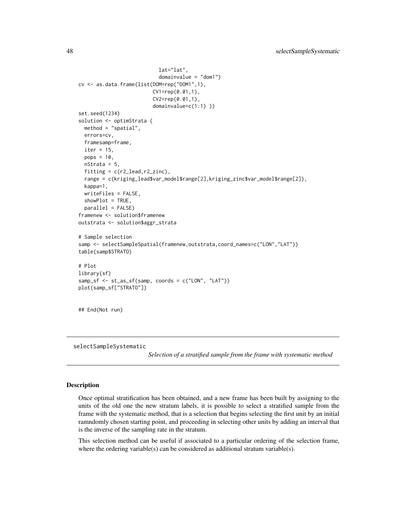```
lat="lat",
                           domainvalue = "dom1")
cv <- as.data.frame(list(DOM=rep("DOM1",1),
                         CV1=rep(0.01,1),
                         CV2=rep(0.01,1),
                         domainvalue=c(1:1) ))
set.seed(1234)
solution <- optimStrata (
 method = "spatial",
 errors=cv,
 framesamp=frame,
 iter = 15,
 pops = 10,
 nStrata = 5,
 fitting = c(r2_lead,r2_zinc),
 range = c(kriging_lead$var_model$range[2],kriging_zinc$var_model$range[2]),
 kappa=1,
 writeFiles = FALSE,
 showPlot = TRUE,
 parallel = FALSE)
framenew <- solution$framenew
outstrata <- solution$aggr_strata
# Sample selection
samp <- selectSampleSpatial(framenew,outstrata,coord_names=c("LON","LAT"))
table(samp$STRATO)
# Plot
library(sf)
samp_sf <- st_as_sf(samp, coords = c("LON", "LAT"))
plot(samp_sf["STRATO"])
## End(Not run)
```
selectSampleSystematic

*Selection of a stratified sample from the frame with systematic method*

#### Description

Once optimal stratification has been obtained, and a new frame has been built by assigning to the units of the old one the new stratum labels, it is possible to select a stratified sample from the frame with the systematic method, that is a selection that begins selecting the first unit by an initial ramndomly chosen starting point, and proceeding in selecting other units by adding an interval that is the inverse of the sampling rate in the stratum.

This selection method can be useful if associated to a particular ordering of the selection frame, where the ordering variable(s) can be considered as additional stratum variable(s).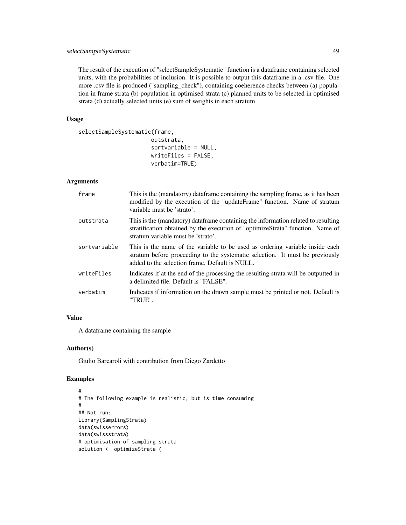The result of the execution of "selectSampleSystematic" function is a dataframe containing selected units, with the probabilities of inclusion. It is possible to output this dataframe in a .csv file. One more .csv file is produced ("sampling\_check"), containing coeherence checks between (a) population in frame strata (b) population in optimised strata (c) planned units to be selected in optimised strata (d) actually selected units (e) sum of weights in each stratum

## Usage

```
selectSampleSystematic(frame,
```
outstrata, sortvariable = NULL, writeFiles = FALSE, verbatim=TRUE)

## Arguments

| frame        | This is the (mandatory) dataframe containing the sampling frame, as it has been<br>modified by the execution of the "updateFrame" function. Name of stratum<br>variable must be 'strato'.                      |
|--------------|----------------------------------------------------------------------------------------------------------------------------------------------------------------------------------------------------------------|
| outstrata    | This is the (mandatory) dataframe containing the information related to resulting<br>stratification obtained by the execution of "optimizeStrata" function. Name of<br>stratum variable must be 'strato'.      |
| sortvariable | This is the name of the variable to be used as ordering variable inside each<br>stratum before proceeding to the systematic selection. It must be previously<br>added to the selection frame. Default is NULL. |
| writeFiles   | Indicates if at the end of the processing the resulting strata will be outputted in<br>a delimited file. Default is "FALSE".                                                                                   |
| verbatim     | Indicates if information on the drawn sample must be printed or not. Default is<br>"TRUE".                                                                                                                     |

## Value

A dataframe containing the sample

## Author(s)

Giulio Barcaroli with contribution from Diego Zardetto

```
#
# The following example is realistic, but is time consuming
#
## Not run:
library(SamplingStrata)
data(swisserrors)
data(swissstrata)
# optimisation of sampling strata
solution <- optimizeStrata (
```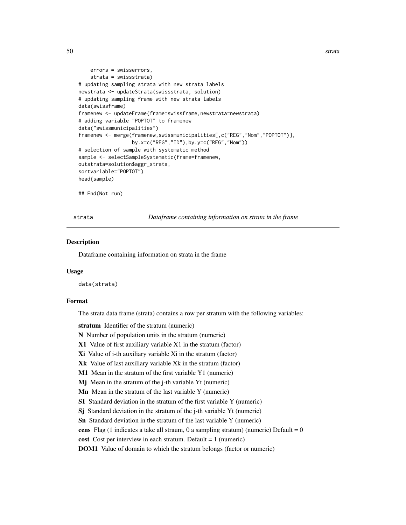```
errors = swisserrors,
    strata = swissstrata)
# updating sampling strata with new strata labels
newstrata <- updateStrata(swissstrata, solution)
# updating sampling frame with new strata labels
data(swissframe)
framenew <- updateFrame(frame=swissframe,newstrata=newstrata)
# adding variable "POPTOT" to framenew
data("swissmunicipalities")
framenew <- merge(framenew,swissmunicipalities[,c("REG","Nom","POPTOT")],
                  by.x=c("REG","ID"),by.y=c("REG","Nom"))
# selection of sample with systematic method
sample <- selectSampleSystematic(frame=framenew,
outstrata=solution$aggr_strata,
sortvariable="POPTOT")
head(sample)
```

```
## End(Not run)
```
strata *Dataframe containing information on strata in the frame*

#### **Description**

Dataframe containing information on strata in the frame

#### Usage

data(strata)

## Format

The strata data frame (strata) contains a row per stratum with the following variables:

stratum Identifier of the stratum (numeric)

N Number of population units in the stratum (numeric)

- X1 Value of first auxiliary variable X1 in the stratum (factor)
- Xi Value of i-th auxiliary variable Xi in the stratum (factor)
- Xk Value of last auxiliary variable Xk in the stratum (factor)
- M1 Mean in the stratum of the first variable Y1 (numeric)
- Mj Mean in the stratum of the j-th variable Yt (numeric)
- Mn Mean in the stratum of the last variable Y (numeric)
- S1 Standard deviation in the stratum of the first variable Y (numeric)
- Sj Standard deviation in the stratum of the j-th variable Yt (numeric)
- Sn Standard deviation in the stratum of the last variable Y (numeric)

cens Flag (1 indicates a take all straum, 0 a sampling stratum) (numeric) Default =  $0$ 

cost Cost per interview in each stratum. Default = 1 (numeric)

DOM1 Value of domain to which the stratum belongs (factor or numeric)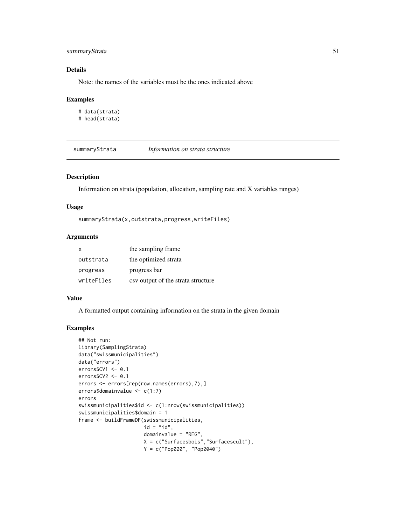## <span id="page-50-0"></span>summaryStrata 51

## Details

Note: the names of the variables must be the ones indicated above

#### Examples

```
# data(strata)
# head(strata)
```
summaryStrata *Information on strata structure*

## Description

Information on strata (population, allocation, sampling rate and X variables ranges)

#### Usage

```
summaryStrata(x,outstrata,progress,writeFiles)
```
## Arguments

| $\mathsf{x}$ | the sampling frame.                |
|--------------|------------------------------------|
| outstrata    | the optimized strata               |
| progress     | progress bar                       |
| writeFiles   | csy output of the strata structure |

## Value

A formatted output containing information on the strata in the given domain

```
## Not run:
library(SamplingStrata)
data("swissmunicipalities")
data("errors")
errors$CV1 <- 0.1
errors$CV2 <- 0.1
errors <- errors[rep(row.names(errors),7),]
errors$domainvalue <- c(1:7)
errors
swissmunicipalities$id <- c(1:nrow(swissmunicipalities))
swissmunicipalities$domain = 1
frame <- buildFrameDF(swissmunicipalities,
                      id = "id",domainvalue = "REG",
                      X = c("Surfacesbois","Surfacescult"),
                      Y = c("Pop020", "Pop2040")
```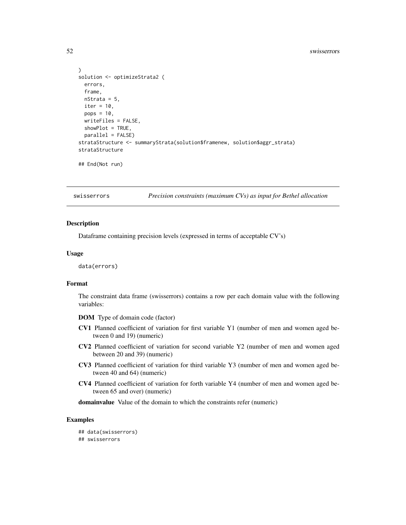```
)
solution <- optimizeStrata2 (
 errors,
 frame,
 nStrata = 5,
 iter = 10,
 pops = 10,
 writeFiles = FALSE,
 showPlot = TRUE,
 parallel = FALSE)
strataStructure <- summaryStrata(solution$framenew, solution$aggr_strata)
strataStructure
## End(Not run)
```
swisserrors *Precision constraints (maximum CVs) as input for Bethel allocation*

#### **Description**

Dataframe containing precision levels (expressed in terms of acceptable CV's)

## Usage

data(errors)

## Format

The constraint data frame (swisserrors) contains a row per each domain value with the following variables:

DOM Type of domain code (factor)

- CV1 Planned coefficient of variation for first variable Y1 (number of men and women aged between 0 and 19) (numeric)
- CV2 Planned coefficient of variation for second variable Y2 (number of men and women aged between 20 and 39) (numeric)
- CV3 Planned coefficient of variation for third variable Y3 (number of men and women aged between 40 and 64) (numeric)
- CV4 Planned coefficient of variation for forth variable Y4 (number of men and women aged between 65 and over) (numeric)

domainvalue Value of the domain to which the constraints refer (numeric)

#### Examples

## data(swisserrors) ## swisserrors

<span id="page-51-0"></span>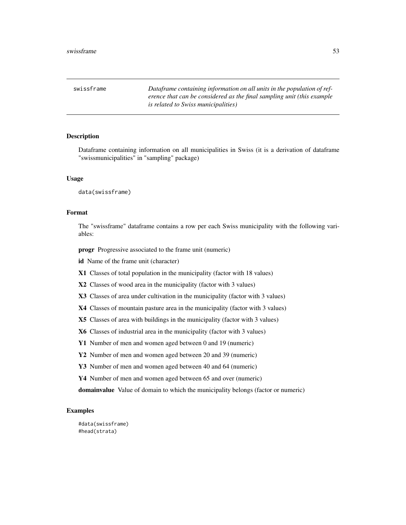<span id="page-52-0"></span>swissframe *Dataframe containing information on all units in the population of reference that can be considered as the final sampling unit (this example is related to Swiss municipalities)*

#### Description

Dataframe containing information on all municipalities in Swiss (it is a derivation of dataframe "swissmunicipalities" in "sampling" package)

#### Usage

data(swissframe)

## Format

The "swissframe" dataframe contains a row per each Swiss municipality with the following variables:

progr Progressive associated to the frame unit (numeric)

id Name of the frame unit (character)

X1 Classes of total population in the municipality (factor with 18 values)

X2 Classes of wood area in the municipality (factor with 3 values)

X3 Classes of area under cultivation in the municipality (factor with 3 values)

X4 Classes of mountain pasture area in the municipality (factor with 3 values)

X5 Classes of area with buildings in the municipality (factor with 3 values)

X6 Classes of industrial area in the municipality (factor with 3 values)

Y1 Number of men and women aged between 0 and 19 (numeric)

Y2 Number of men and women aged between 20 and 39 (numeric)

Y3 Number of men and women aged between 40 and 64 (numeric)

Y4 Number of men and women aged between 65 and over (numeric)

domainvalue Value of domain to which the municipality belongs (factor or numeric)

#### Examples

#data(swissframe) #head(strata)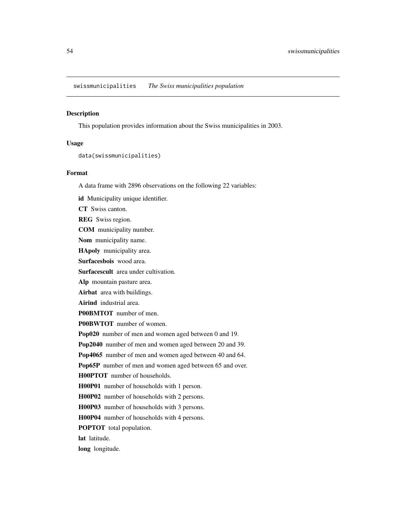<span id="page-53-0"></span>swissmunicipalities *The Swiss municipalities population*

#### Description

This population provides information about the Swiss municipalities in 2003.

## Usage

data(swissmunicipalities)

#### Format

A data frame with 2896 observations on the following 22 variables:

id Municipality unique identifier. CT Swiss canton. **REG** Swiss region. COM municipality number. Nom municipality name. HApoly municipality area. Surfacesbois wood area. Surfacescult area under cultivation. Alp mountain pasture area. Airbat area with buildings. Airind industrial area. P00BMTOT number of men. P00BWTOT number of women. Pop020 number of men and women aged between 0 and 19. Pop2040 number of men and women aged between 20 and 39. Pop4065 number of men and women aged between 40 and 64. Pop65P number of men and women aged between 65 and over. H00PTOT number of households. H00P01 number of households with 1 person. H00P02 number of households with 2 persons. H00P03 number of households with 3 persons. H00P04 number of households with 4 persons. POPTOT total population. lat latitude. long longitude.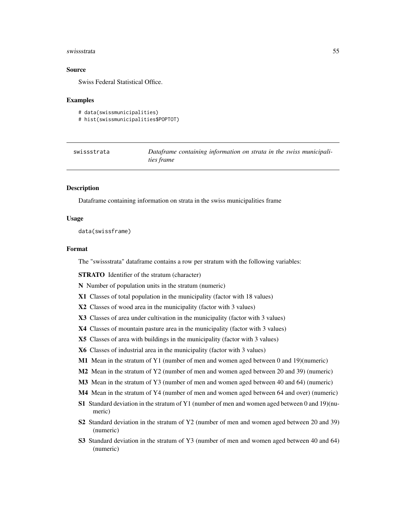#### <span id="page-54-0"></span>swissstrata 55

#### Source

Swiss Federal Statistical Office.

#### Examples

```
# data(swissmunicipalities)
# hist(swissmunicipalities$POPTOT)
```

| swissstrata | Dataframe containing information on strata in the swiss municipali- |
|-------------|---------------------------------------------------------------------|
|             | <i>ties frame</i>                                                   |

## Description

Dataframe containing information on strata in the swiss municipalities frame

#### Usage

data(swissframe)

#### Format

The "swissstrata" dataframe contains a row per stratum with the following variables:

STRATO Identifier of the stratum (character)

N Number of population units in the stratum (numeric)

- X1 Classes of total population in the municipality (factor with 18 values)
- X2 Classes of wood area in the municipality (factor with 3 values)
- X3 Classes of area under cultivation in the municipality (factor with 3 values)
- X4 Classes of mountain pasture area in the municipality (factor with 3 values)
- X5 Classes of area with buildings in the municipality (factor with 3 values)
- X6 Classes of industrial area in the municipality (factor with 3 values)
- M1 Mean in the stratum of Y1 (number of men and women aged between 0 and 19)(numeric)
- M2 Mean in the stratum of Y2 (number of men and women aged between 20 and 39) (numeric)
- M3 Mean in the stratum of Y3 (number of men and women aged between 40 and 64) (numeric)
- M4 Mean in the stratum of Y4 (number of men and women aged between 64 and over) (numeric)
- S1 Standard deviation in the stratum of Y1 (number of men and women aged between 0 and 19)(numeric)
- S2 Standard deviation in the stratum of Y2 (number of men and women aged between 20 and 39) (numeric)
- S3 Standard deviation in the stratum of Y3 (number of men and women aged between 40 and 64) (numeric)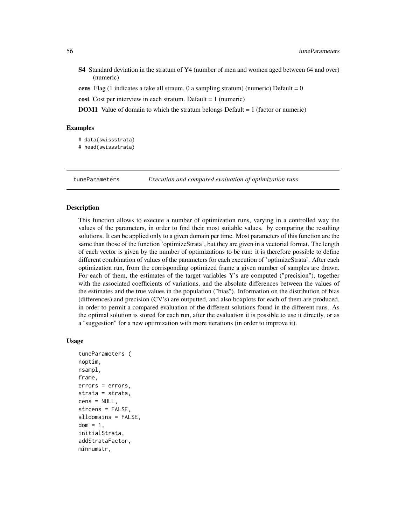- <span id="page-55-0"></span>S4 Standard deviation in the stratum of Y4 (number of men and women aged between 64 and over) (numeric)
- cens Flag (1 indicates a take all straum, 0 a sampling stratum) (numeric) Default =  $0$
- cost Cost per interview in each stratum. Default = 1 (numeric)
- **DOM1** Value of domain to which the stratum belongs Default = 1 (factor or numeric)

#### Examples

- # data(swissstrata)
- # head(swissstrata)

tuneParameters *Execution and compared evaluation of optimization runs*

## Description

This function allows to execute a number of optimization runs, varying in a controlled way the values of the parameters, in order to find their most suitable values. by comparing the resulting solutions. It can be applied only to a given domain per time. Most parameters of this function are the same than those of the function 'optimizeStrata', but they are given in a vectorial format. The length of each vector is given by the number of optimizations to be run: it is therefore possible to define different combination of values of the parameters for each execution of 'optimizeStrata'. After each optimization run, from the corrisponding optimized frame a given number of samples are drawn. For each of them, the estimates of the target variables Y's are computed ("precision"), together with the associated coefficients of variations, and the absolute differences between the values of the estimates and the true values in the population ("bias"). Information on the distribution of bias (differences) and precision (CV's) are outputted, and also boxplots for each of them are produced, in order to permit a compared evaluation of the different solutions found in the different runs. As the optimal solution is stored for each run, after the evaluation it is possible to use it directly, or as a "suggestion" for a new optimization with more iterations (in order to improve it).

## Usage

```
tuneParameters (
noptim,
nsampl,
frame,
errors = errors,
strata = strata,
cens = NULL,
strcens = FALSE,
alldomains = FALSE,
dom = 1,
initialStrata,
addStrataFactor,
minnumstr,
```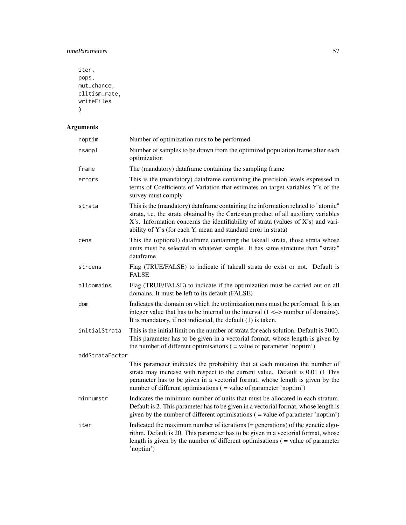## tuneParameters 57

```
iter,
pops,
mut_chance,
elitism_rate,
writeFiles
\mathcal{L}
```
## Arguments

| noptim          | Number of optimization runs to be performed                                                                                                                                                                                                                                                                                     |
|-----------------|---------------------------------------------------------------------------------------------------------------------------------------------------------------------------------------------------------------------------------------------------------------------------------------------------------------------------------|
| nsampl          | Number of samples to be drawn from the optimized population frame after each<br>optimization                                                                                                                                                                                                                                    |
| frame           | The (mandatory) dataframe containing the sampling frame                                                                                                                                                                                                                                                                         |
| errors          | This is the (mandatory) dataframe containing the precision levels expressed in<br>terms of Coefficients of Variation that estimates on target variables Y's of the<br>survey must comply                                                                                                                                        |
| strata          | This is the (mandatory) dataframe containing the information related to "atomic"<br>strata, i.e. the strata obtained by the Cartesian product of all auxiliary variables<br>X's. Information concerns the identifiability of strata (values of X's) and vari-<br>ability of Y's (for each Y, mean and standard error in strata) |
| cens            | This the (optional) dataframe containing the takeall strata, those strata whose<br>units must be selected in whatever sample. It has same structure than "strata"<br>dataframe                                                                                                                                                  |
| strcens         | Flag (TRUE/FALSE) to indicate if takeall strata do exist or not. Default is<br><b>FALSE</b>                                                                                                                                                                                                                                     |
| alldomains      | Flag (TRUE/FALSE) to indicate if the optimization must be carried out on all<br>domains. It must be left to its default (FALSE)                                                                                                                                                                                                 |
| dom             | Indicates the domain on which the optimization runs must be performed. It is an<br>integer value that has to be internal to the interval $(1 \le x$ number of domains).<br>It is mandatory, if not indicated, the default $(1)$ is taken.                                                                                       |
| initialStrata   | This is the initial limit on the number of strata for each solution. Default is 3000.<br>This parameter has to be given in a vectorial format, whose length is given by<br>the number of different optimisations $($ = value of parameter 'noptim')                                                                             |
| addStrataFactor |                                                                                                                                                                                                                                                                                                                                 |
|                 | This parameter indicates the probability that at each mutation the number of<br>strata may increase with respect to the current value. Default is 0.01 (1 This<br>parameter has to be given in a vectorial format, whose length is given by the<br>number of different optimisations ( = value of parameter 'noptim')           |
| minnumstr       | Indicates the minimum number of units that must be allocated in each stratum.<br>Default is 2. This parameter has to be given in a vectorial format, whose length is<br>given by the number of different optimisations $($ = value of parameter 'noptim' $)$                                                                    |
| iter            | Indicated the maximum number of iterations $(=$ generations) of the genetic algo-<br>rithm. Default is 20. This parameter has to be given in a vectorial format, whose<br>length is given by the number of different optimisations $($ = value of parameter<br>'noptim')                                                        |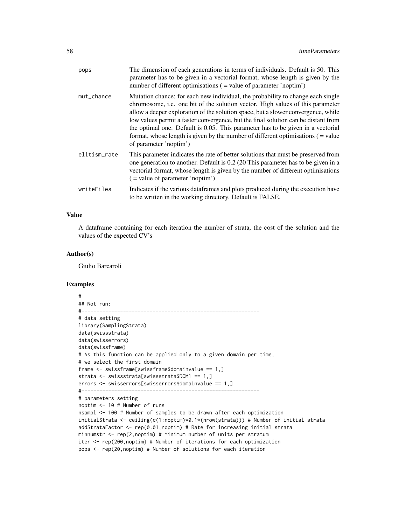| pops         | The dimension of each generations in terms of individuals. Default is 50. This<br>parameter has to be given in a vectorial format, whose length is given by the<br>number of different optimisations ( = value of parameter 'noptim')                                                                                                                                                                                                                                                                                                           |
|--------------|-------------------------------------------------------------------------------------------------------------------------------------------------------------------------------------------------------------------------------------------------------------------------------------------------------------------------------------------------------------------------------------------------------------------------------------------------------------------------------------------------------------------------------------------------|
| mut_chance   | Mutation chance: for each new individual, the probability to change each single<br>chromosome, i.e. one bit of the solution vector. High values of this parameter<br>allow a deeper exploration of the solution space, but a slower convergence, while<br>low values permit a faster convergence, but the final solution can be distant from<br>the optimal one. Default is 0.05. This parameter has to be given in a vectorial<br>format, whose length is given by the number of different optimisations $($ = value<br>of parameter 'noptim') |
| elitism_rate | This parameter indicates the rate of better solutions that must be preserved from<br>one generation to another. Default is 0.2 (20 This parameter has to be given in a<br>vectorial format, whose length is given by the number of different optimisations<br>$($ = value of parameter 'noptim')                                                                                                                                                                                                                                                |
| writeFiles   | Indicates if the various dataframes and plots produced during the execution have<br>to be written in the working directory. Default is FALSE.                                                                                                                                                                                                                                                                                                                                                                                                   |

## Value

A dataframe containing for each iteration the number of strata, the cost of the solution and the values of the expected CV's

#### Author(s)

Giulio Barcaroli

```
#
## Not run:
#------------------------------------------------------------
# data setting
library(SamplingStrata)
data(swissstrata)
data(swisserrors)
data(swissframe)
# As this function can be applied only to a given domain per time,
# we select the first domain
frame <- swissframe[swissframe$domainvalue == 1,]
strata <- swissstrata[swissstrata$DOM1 == 1,]
errors <- swisserrors[swisserrors$domainvalue == 1,]
#------------------------------------------------------------
# parameters setting
noptim <- 10 # Number of runs
nsampl <- 100 # Number of samples to be drawn after each optimization
initialStrata <- ceiling(c(1:noptim)*0.1*(nrow(strata))) # Number of initial strata
addStrataFactor <- rep(0.01,noptim) # Rate for increasing initial strata
minnumstr <- rep(2,noptim) # Minimum number of units per stratum
iter <- rep(200,noptim) # Number of iterations for each optimization
pops <- rep(20,noptim) # Number of solutions for each iteration
```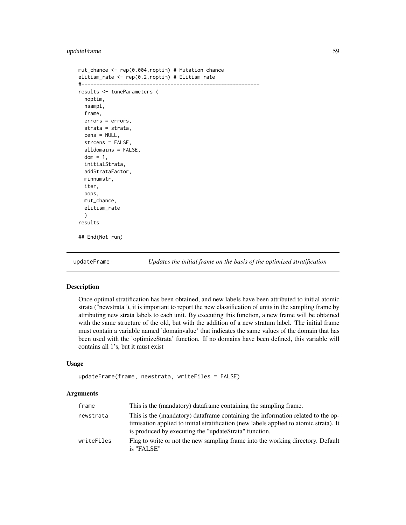## <span id="page-58-0"></span>updateFrame 59

```
mut_chance <- rep(0.004,noptim) # Mutation chance
elitism_rate <- rep(0.2,noptim) # Elitism rate
#------------------------------------------------------------
results <- tuneParameters (
 noptim,
 nsampl,
 frame,
 errors = errors,
 strata = strata,
 cens = NULL,
 strcens = FALSE,
 alldomains = FALSE,
 dom = 1,
 initialStrata,
 addStrataFactor,
 minnumstr,
 iter,
 pops,
 mut_chance,
 elitism_rate
 )
results
## End(Not run)
```
updateFrame *Updates the initial frame on the basis of the optimized stratification*

## Description

Once optimal stratification has been obtained, and new labels have been attributed to initial atomic strata ("newstrata"), it is important to report the new classification of units in the sampling frame by attributing new strata labels to each unit. By executing this function, a new frame will be obtained with the same structure of the old, but with the addition of a new stratum label. The initial frame must contain a variable named 'domainvalue' that indicates the same values of the domain that has been used with the 'optimizeStrata' function. If no domains have been defined, this variable will contains all 1's, but it must exist

## Usage

```
updateFrame(frame, newstrata, writeFiles = FALSE)
```
#### Arguments

| frame      | This is the (mandatory) dataframe containing the sampling frame.                                                                                                                                                                    |
|------------|-------------------------------------------------------------------------------------------------------------------------------------------------------------------------------------------------------------------------------------|
| newstrata  | This is the (mandatory) data frame containing the information related to the op-<br>timisation applied to initial stratification (new labels applied to atomic strata). It<br>is produced by executing the "updateStrata" function. |
| writeFiles | Flag to write or not the new sampling frame into the working directory. Default<br>is "FALSE"                                                                                                                                       |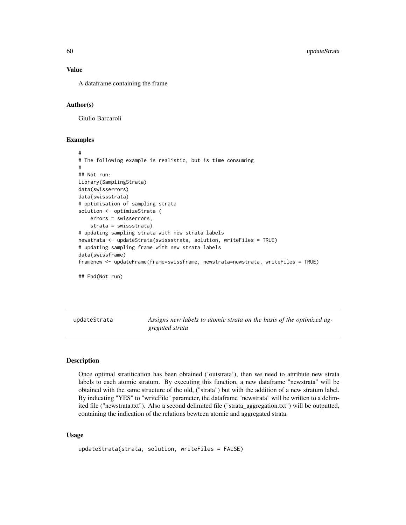#### Value

A dataframe containing the frame

#### Author(s)

Giulio Barcaroli

## Examples

```
#
# The following example is realistic, but is time consuming
#
## Not run:
library(SamplingStrata)
data(swisserrors)
data(swissstrata)
# optimisation of sampling strata
solution <- optimizeStrata (
   errors = swisserrors,
    strata = swissstrata)
# updating sampling strata with new strata labels
newstrata <- updateStrata(swissstrata, solution, writeFiles = TRUE)
# updating sampling frame with new strata labels
data(swissframe)
framenew <- updateFrame(frame=swissframe, newstrata=newstrata, writeFiles = TRUE)
## End(Not run)
```
updateStrata *Assigns new labels to atomic strata on the basis of the optimized aggregated strata*

## **Description**

Once optimal stratification has been obtained ('outstrata'), then we need to attribute new strata labels to each atomic stratum. By executing this function, a new dataframe "newstrata" will be obtained with the same structure of the old, ("strata") but with the addition of a new stratum label. By indicating "YES" to "writeFile" parameter, the dataframe "newstrata" will be written to a delimited file ("newstrata.txt"). Also a second delimited file ("strata\_aggregation.txt") will be outputted, containing the indication of the relations bewteen atomic and aggregated strata.

#### Usage

```
updateStrata(strata, solution, writeFiles = FALSE)
```
<span id="page-59-0"></span>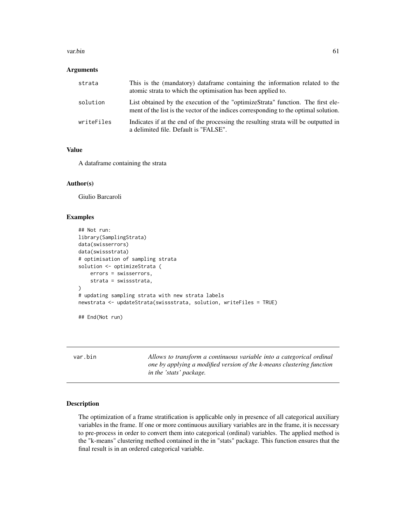#### <span id="page-60-0"></span>var.bin 61

#### **Arguments**

| strata     | This is the (mandatory) dataframe containing the information related to the<br>atomic strata to which the optimisation has been applied to.                             |
|------------|-------------------------------------------------------------------------------------------------------------------------------------------------------------------------|
| solution   | List obtained by the execution of the "optimizeStrata" function. The first ele-<br>ment of the list is the vector of the indices corresponding to the optimal solution. |
| writeFiles | Indicates if at the end of the processing the resulting strata will be outputted in<br>a delimited file. Default is "FALSE".                                            |

## Value

A dataframe containing the strata

#### Author(s)

Giulio Barcaroli

## Examples

```
## Not run:
library(SamplingStrata)
data(swisserrors)
data(swissstrata)
# optimisation of sampling strata
solution <- optimizeStrata (
    errors = swisserrors,
    strata = swissstrata,
\mathcal{L}# updating sampling strata with new strata labels
newstrata <- updateStrata(swissstrata, solution, writeFiles = TRUE)
## End(Not run)
```
var.bin *Allows to transform a continuous variable into a categorical ordinal one by applying a modified version of the k-means clustering function in the 'stats' package.*

## Description

The optimization of a frame stratification is applicable only in presence of all categorical auxiliary variables in the frame. If one or more continuous auxiliary variables are in the frame, it is necessary to pre-process in order to convert them into categorical (ordinal) variables. The applied method is the "k-means" clustering method contained in the in "stats" package. This function ensures that the final result is in an ordered categorical variable.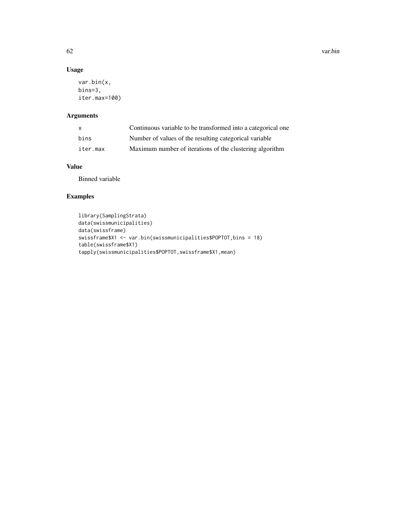## Usage

```
var.bin(x,
bins=3,
iter.max=100)
```
## Arguments

| X.       | Continuous variable to be transformed into a categorical one |
|----------|--------------------------------------------------------------|
| hins     | Number of values of the resulting categorical variable       |
| iter.max | Maximum number of iterations of the clustering algorithm     |

## Value

Binned variable

```
library(SamplingStrata)
data(swissmunicipalities)
data(swissframe)
swissframe$X1 <- var.bin(swissmunicipalities$POPTOT,bins = 18)
table(swissframe$X1)
tapply(swissmunicipalities$POPTOT,swissframe$X1,mean)
```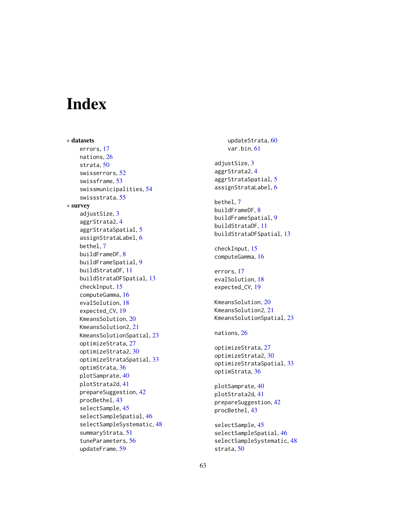# <span id="page-62-0"></span>**Index**

∗ datasets errors, [17](#page-16-0) nations, [26](#page-25-0) strata, [50](#page-49-0) swisserrors, [52](#page-51-0) swissframe, [53](#page-52-0) swissmunicipalities, [54](#page-53-0) swissstrata, [55](#page-54-0) ∗ survey adjustSize, [3](#page-2-0) aggrStrata2, [4](#page-3-0) aggrStrataSpatial, [5](#page-4-0) assignStrataLabel, [6](#page-5-0) bethel, [7](#page-6-0) buildFrameDF, [8](#page-7-0) buildFrameSpatial, [9](#page-8-0) buildStrataDF, [11](#page-10-0) buildStrataDFSpatial, [13](#page-12-0) checkInput, [15](#page-14-0) computeGamma, [16](#page-15-0) evalSolution, [18](#page-17-0) expected\_CV, [19](#page-18-0) KmeansSolution, [20](#page-19-0) KmeansSolution2, [21](#page-20-0) KmeansSolutionSpatial, [23](#page-22-0) optimizeStrata, [27](#page-26-0) optimizeStrata2, [30](#page-29-0) optimizeStrataSpatial, [33](#page-32-0) optimStrata, [36](#page-35-0) plotSamprate, [40](#page-39-0) plotStrata2d, [41](#page-40-0) prepareSuggestion, [42](#page-41-0) procBethel, [43](#page-42-0) selectSample, [45](#page-44-0) selectSampleSpatial, [46](#page-45-0) selectSampleSystematic, [48](#page-47-0) summaryStrata, [51](#page-50-0) tuneParameters, [56](#page-55-0) updateFrame, [59](#page-58-0)

updateStrata, [60](#page-59-0) var.bin, [61](#page-60-0) adjustSize, [3](#page-2-0) aggrStrata2, [4](#page-3-0) aggrStrataSpatial, [5](#page-4-0) assignStrataLabel, [6](#page-5-0) bethel, [7](#page-6-0) buildFrameDF, [8](#page-7-0) buildFrameSpatial, [9](#page-8-0) buildStrataDF, [11](#page-10-0) buildStrataDFSpatial, [13](#page-12-0) checkInput, [15](#page-14-0) computeGamma, [16](#page-15-0) errors, [17](#page-16-0) evalSolution, [18](#page-17-0) expected\_CV, [19](#page-18-0) KmeansSolution, [20](#page-19-0) KmeansSolution2, [21](#page-20-0) KmeansSolutionSpatial, [23](#page-22-0) nations, [26](#page-25-0) optimizeStrata, [27](#page-26-0) optimizeStrata2, [30](#page-29-0) optimizeStrataSpatial, [33](#page-32-0) optimStrata, [36](#page-35-0) plotSamprate, [40](#page-39-0) plotStrata2d, [41](#page-40-0) prepareSuggestion, [42](#page-41-0) procBethel, [43](#page-42-0) selectSample, [45](#page-44-0) selectSampleSpatial, [46](#page-45-0) selectSampleSystematic, [48](#page-47-0) strata, [50](#page-49-0)